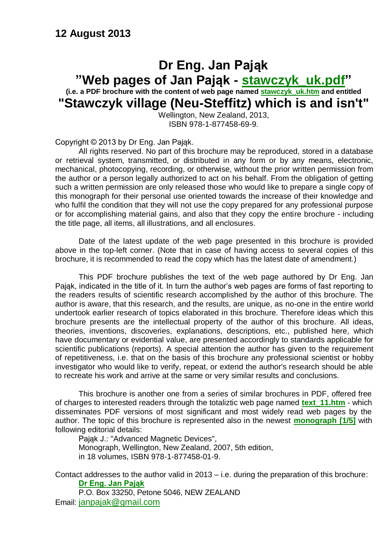#### **12 August 2013**

#### **Dr Eng. Jan Pająk "Web pages of Jan Pająk - [stawczyk\\_uk.pdf"](http://totalizm.com.pl/stawczyk_uk.pdf) (i.e. a PDF brochure with the content of web page named [stawczyk\\_uk.htm](http://totalizm.com.pl/stawczyk_uk.htm) and entitled "Stawczyk village (Neu-Steffitz) which is and isn't"**

Wellington, New Zealand, 2013, ISBN 978-1-877458-69-9.

Copyright © 2013 by Dr Eng. Jan Pająk.

All rights reserved. No part of this brochure may be reproduced, stored in a database or retrieval system, transmitted, or distributed in any form or by any means, electronic, mechanical, photocopying, recording, or otherwise, without the prior written permission from the author or a person legally authorized to act on his behalf. From the obligation of getting such a written permission are only released those who would like to prepare a single copy of this monograph for their personal use oriented towards the increase of their knowledge and who fulfil the condition that they will not use the copy prepared for any professional purpose or for accomplishing material gains, and also that they copy the entire brochure - including the title page, all items, all illustrations, and all enclosures.

Date of the latest update of the web page presented in this brochure is provided above in the top-left corner. (Note that in case of having access to several copies of this brochure, it is recommended to read the copy which has the latest date of amendment.)

This PDF brochure publishes the text of the web page authored by Dr Eng. Jan Pająk, indicated in the title of it. In turn the author's web pages are forms of fast reporting to the readers results of scientific research accomplished by the author of this brochure. The author is aware, that this research, and the results, are unique, as no-one in the entire world undertook earlier research of topics elaborated in this brochure. Therefore ideas which this brochure presents are the intellectual property of the author of this brochure. All ideas, theories, inventions, discoveries, explanations, descriptions, etc., published here, which have documentary or evidential value, are presented accordingly to standards applicable for scientific publications (reports). A special attention the author has given to the requirement of repetitiveness, i.e. that on the basis of this brochure any professional scientist or hobby investigator who would like to verify, repeat, or extend the author's research should be able to recreate his work and arrive at the same or very similar results and conclusions.

This brochure is another one from a series of similar brochures in PDF, offered free of charges to interested readers through the totaliztic web page named **[text\\_11.htm](http://totalizm.com.pl/text_11.htm)** - which disseminates PDF versions of most significant and most widely read web pages by the author. The topic of this brochure is represented also in the newest **[monograph \[1/5\]](http://totalizm.com.pl/text_1_5.htm)** with following editorial details:

Pająk J.: "Advanced Magnetic Devices", Monograph, Wellington, New Zealand, 2007, 5th edition, in 18 volumes, ISBN 978-1-877458-01-9.

Contact addresses to the author valid in 2013 – i.e. during the preparation of this brochure: **[Dr Eng. Jan Pająk](http://images.google.co.nz/images?hl=en&q=Jan+Pajak&btnG=Search+Images&gbv=1)**

P.O. Box 33250, Petone 5046, NEW ZEALAND Email: [janpajak@gmail.com](mailto:%20janpajak@gmail.com)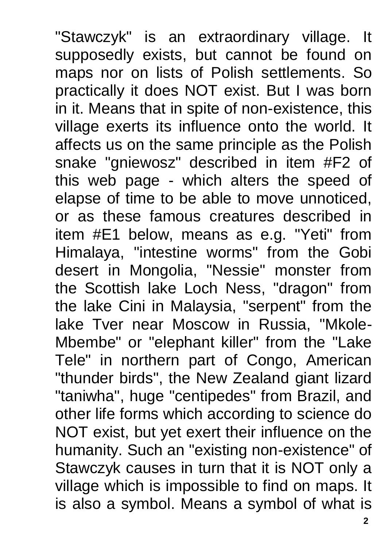"Stawczyk" is an extraordinary village. It supposedly exists, but cannot be found on maps nor on lists of Polish settlements. So practically it does NOT exist. But I was born in it. Means that in spite of non-existence, this village exerts its influence onto the world. It affects us on the same principle as the Polish snake "gniewosz" described in item #F2 of this web page - which alters the speed of elapse of time to be able to move unnoticed, or as these famous creatures described in item #E1 below, means as e.g. "Yeti" from Himalaya, "intestine worms" from the Gobi desert in Mongolia, "Nessie" monster from the Scottish lake Loch Ness, "dragon" from the lake Cini in Malaysia, "serpent" from the lake Tver near Moscow in Russia, "Mkole-Mbembe" or "elephant killer" from the "Lake Tele" in northern part of Congo, American "thunder birds", the New Zealand giant lizard "taniwha", huge "centipedes" from Brazil, and other life forms which according to science do NOT exist, but yet exert their influence on the humanity. Such an "existing non-existence" of Stawczyk causes in turn that it is NOT only a village which is impossible to find on maps. It is also a symbol. Means a symbol of what is

**2**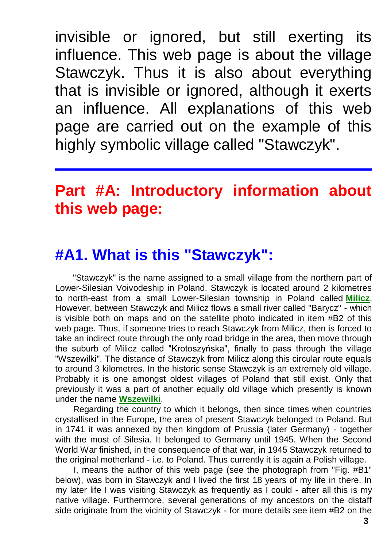invisible or ignored, but still exerting its influence. This web page is about the village Stawczyk. Thus it is also about everything that is invisible or ignored, although it exerts an influence. All explanations of this web page are carried out on the example of this highly symbolic village called "Stawczyk".

# **Part #A: Introductory information about this web page:**

### **#A1. What is this "Stawczyk":**

"Stawczyk" is the name assigned to a small village from the northern part of Lower-Silesian Voivodeship in Poland. Stawczyk is located around 2 kilometres to north-east from a small Lower-Silesian township in Poland called **[Milicz](http://totalizm.com.pl/milicz_uk.htm)**. However, between Stawczyk and Milicz flows a small river called "Barycz" - which is visible both on maps and on the satellite photo indicated in item #B2 of this web page. Thus, if someone tries to reach Stawczyk from Milicz, then is forced to take an indirect route through the only road bridge in the area, then move through the suburb of Milicz called "Krotoszyńska", finally to pass through the village "Wszewilki". The distance of Stawczyk from Milicz along this circular route equals to around 3 kilometres. In the historic sense Stawczyk is an extremely old village. Probably it is one amongst oldest villages of Poland that still exist. Only that previously it was a part of another equally old village which presently is known under the name **[Wszewilki](http://totalizm.com.pl/wszewilki_uk.htm)**.

Regarding the country to which it belongs, then since times when countries crystallised in the Europe, the area of present Stawczyk belonged to Poland. But in 1741 it was annexed by then kingdom of Prussia (later Germany) - together with the most of Silesia. It belonged to Germany until 1945. When the Second World War finished, in the consequence of that war, in 1945 Stawczyk returned to the original motherland - i.e. to Poland. Thus currently it is again a Polish village.

I, means the author of this web page (see the photograph from "Fig. #B1" below), was born in Stawczyk and I lived the first 18 years of my life in there. In my later life I was visiting Stawczyk as frequently as I could - after all this is my native village. Furthermore, several generations of my ancestors on the distaff side originate from the vicinity of Stawczyk - for more details see item #B2 on the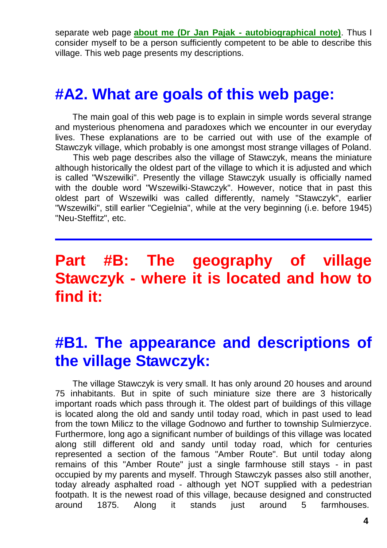separate web page **[about me \(Dr Jan Pajak -](http://totalizm.com.pl/pajak_jan_uk.htm) autobiographical note)**. Thus I consider myself to be a person sufficiently competent to be able to describe this village. This web page presents my descriptions.

#### **#A2. What are goals of this web page:**

The main goal of this web page is to explain in simple words several strange and mysterious phenomena and paradoxes which we encounter in our everyday lives. These explanations are to be carried out with use of the example of Stawczyk village, which probably is one amongst most strange villages of Poland.

This web page describes also the village of Stawczyk, means the miniature although historically the oldest part of the village to which it is adjusted and which is called "Wszewilki". Presently the village Stawczyk usually is officially named with the double word "Wszewilki-Stawczyk". However, notice that in past this oldest part of Wszewilki was called differently, namely "Stawczyk", earlier "Wszewilki", still earlier "Cegielnia", while at the very beginning (i.e. before 1945) "Neu-Steffitz", etc.

### **Part #B: The geography of village Stawczyk - where it is located and how to find it:**

#### **#B1. The appearance and descriptions of the village Stawczyk:**

The village Stawczyk is very small. It has only around 20 houses and around 75 inhabitants. But in spite of such miniature size there are 3 historically important roads which pass through it. The oldest part of buildings of this village is located along the old and sandy until today road, which in past used to lead from the town Milicz to the village Godnowo and further to township Sulmierzyce. Furthermore, long ago a significant number of buildings of this village was located along still different old and sandy until today road, which for centuries represented a section of the famous "Amber Route". But until today along remains of this "Amber Route" just a single farmhouse still stays - in past occupied by my parents and myself. Through Stawczyk passes also still another, today already asphalted road - although yet NOT supplied with a pedestrian footpath. It is the newest road of this village, because designed and constructed around 1875. Along it stands just around 5 farmhouses.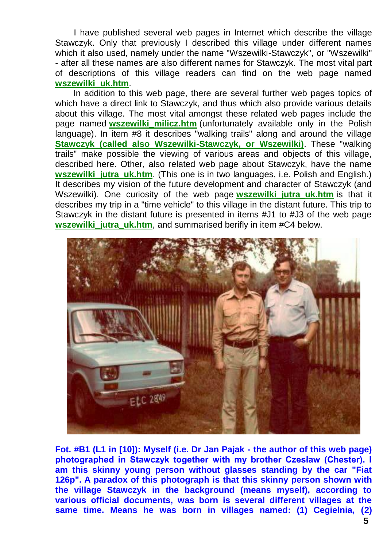I have published several web pages in Internet which describe the village Stawczyk. Only that previously I described this village under different names which it also used, namely under the name "Wszewilki-Stawczyk", or "Wszewilki" - after all these names are also different names for Stawczyk. The most vital part of descriptions of this village readers can find on the web page named **[wszewilki\\_uk.htm](http://totalizm.com.pl/wszewilki_uk.htm)**.

In addition to this web page, there are several further web pages topics of which have a direct link to Stawczyk, and thus which also provide various details about this village. The most vital amongst these related web pages include the page named **[wszewilki\\_milicz.htm](http://totalizm.com.pl/wszewilki_milicz.htm)** (unfortunately available only in the Polish language). In item #8 it describes "walking trails" along and around the village **[Stawczyk \(called also Wszewilki-Stawczyk, or Wszewilki\)](http://totalizm.com.pl/wszewilki_uk.htm)**. These "walking trails" make possible the viewing of various areas and objects of this village, described here. Other, also related web page about Stawczyk, have the name **wszewilki jutra uk.htm.** (This one is in two languages, i.e. Polish and English.) It describes my vision of the future development and character of Stawczyk (and Wszewilki). One curiosity of the web page **wszewilki jutra uk.htm** is that it describes my trip in a "time vehicle" to this village in the distant future. This trip to Stawczyk in the distant future is presented in items #J1 to #J3 of the web page **wszewilki** jutra uk.htm, and summarised berifly in item #C4 below.



**Fot. #B1 (L1 in [10]): Myself (i.e. Dr Jan Pajak - the author of this web page) photographed in Stawczyk together with my brother Czesław (Chester). I am this skinny young person without glasses standing by the car "Fiat 126p". A paradox of this photograph is that this skinny person shown with the village Stawczyk in the background (means myself), according to various official documents, was born is several different villages at the same time. Means he was born in villages named: (1) Cegielnia, (2)**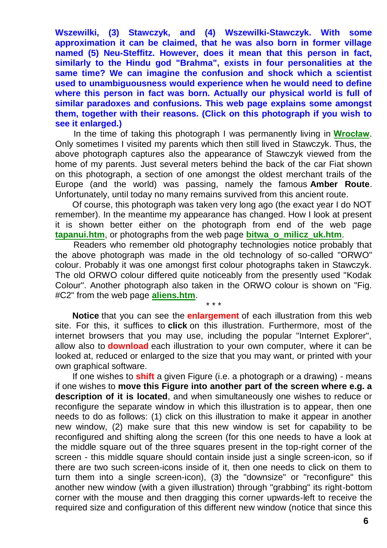**Wszewilki, (3) Stawczyk, and (4) Wszewilki-Stawczyk. With some approximation it can be claimed, that he was also born in former village named (5) Neu-Steffitz. However, does it mean that this person in fact, similarly to the Hindu god "Brahma", exists in four personalities at the same time? We can imagine the confusion and shock which a scientist used to unambiguousness would experience when he would need to define where this person in fact was born. Actually our physical world is full of similar paradoxes and confusions. This web page explains some amongst them, together with their reasons. (Click on this photograph if you wish to see it enlarged.)**

In the time of taking this photograph I was permanently living in **[Wrocław](http://totalizm.com.pl/wroclaw_uk.htm)**. Only sometimes I visited my parents which then still lived in Stawczyk. Thus, the above photograph captures also the appearance of Stawczyk viewed from the home of my parents. Just several meters behind the back of the car Fiat shown on this photograph, a section of one amongst the oldest merchant trails of the Europe (and the world) was passing, namely the famous **Amber Route**. Unfortunately, until today no many remains survived from this ancient route.

Of course, this photograph was taken very long ago (the exact year I do NOT remember). In the meantime my appearance has changed. How I look at present it is shown better either on the photograph from end of the web page **[tapanui.htm](http://totalizm.com.pl/tapanui.htm)**, or photographs from the web page **[bitwa\\_o\\_milicz\\_uk.htm](http://totalizm.com.pl/bitwa_o_milicz_uk.htm)**.

Readers who remember old photography technologies notice probably that the above photograph was made in the old technology of so-called "ORWO" colour. Probably it was one amongst first colour photographs taken in Stawczyk. The old ORWO colour differed quite noticeably from the presently used "Kodak Colour". Another photograph also taken in the ORWO colour is shown on "Fig. #C2" from the web page **[aliens.htm](http://totalizm.com.pl/aliens.htm)**.

\* \* \*

**Notice** that you can see the **enlargement** of each illustration from this web site. For this, it suffices to **click** on this illustration. Furthermore, most of the internet browsers that you may use, including the popular "Internet Explorer", allow also to **download** each illustration to your own computer, where it can be looked at, reduced or enlarged to the size that you may want, or printed with your own graphical software.

If one wishes to **shift** a given Figure (i.e. a photograph or a drawing) - means if one wishes to **move this Figure into another part of the screen where e.g. a description of it is located**, and when simultaneously one wishes to reduce or reconfigure the separate window in which this illustration is to appear, then one needs to do as follows: (1) click on this illustration to make it appear in another new window, (2) make sure that this new window is set for capability to be reconfigured and shifting along the screen (for this one needs to have a look at the middle square out of the three squares present in the top-right corner of the screen - this middle square should contain inside just a single screen-icon, so if there are two such screen-icons inside of it, then one needs to click on them to turn them into a single screen-icon), (3) the "downsize" or "reconfigure" this another new window (with a given illustration) through "grabbing" its right-bottom corner with the mouse and then dragging this corner upwards-left to receive the required size and configuration of this different new window (notice that since this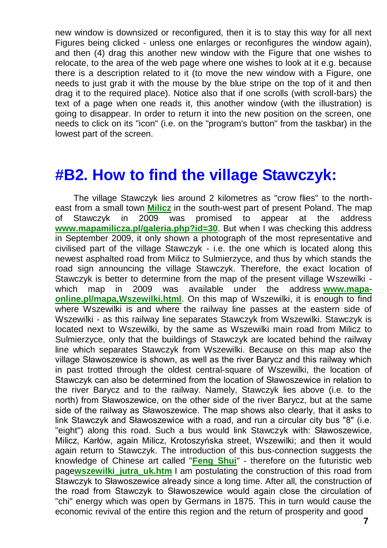new window is downsized or reconfigured, then it is to stay this way for all next Figures being clicked - unless one enlarges or reconfigures the window again), and then (4) drag this another new window with the Figure that one wishes to relocate, to the area of the web page where one wishes to look at it e.g. because there is a description related to it (to move the new window with a Figure, one needs to just grab it with the mouse by the blue stripe on the top of it and then drag it to the required place). Notice also that if one scrolls (with scroll-bars) the text of a page when one reads it, this another window (with the illustration) is going to disappear. In order to return it into the new position on the screen, one needs to click on its "icon" (i.e. on the "program's button" from the taskbar) in the lowest part of the screen.

#### **#B2. How to find the village Stawczyk:**

The village Stawczyk lies around 2 kilometres as "crow flies" to the northeast from a small town **[Milicz](http://totalizm.com.pl/milicz_uk.htm)** in the south-west part of present Poland. The map of Stawczyk in 2009 was promised to appear at the address **[www.mapamilicza.pl/galeria.php?id=30](http://www.mapamilicza.pl/galeria.php?id=30)**. But when I was checking this address in September 2009, it only shown a photograph of the most representative and civilised part of the village Stawczyk - i.e. the one which is located along this newest asphalted road from Milicz to Sulmierzyce, and thus by which stands the road sign announcing the village Stawczyk. Therefore, the exact location of Stawczyk is better to determine from the map of the present village Wszewilki which map in 2009 was available under the address **[www.mapa](http://www.mapa-online.pl/mapa,Wszewilki.html)[online.pl/mapa,Wszewilki.html](http://www.mapa-online.pl/mapa,Wszewilki.html)**. On this map of Wszewilki, it is enough to find where Wszewilki is and where the railway line passes at the eastern side of Wszewilki - as this railway line separates Stawczyk from Wszewilki. Stawczyk is located next to Wszewilki, by the same as Wszewilki main road from Milicz to Sulmierzyce, only that the buildings of Stawczyk are located behind the railway line which separates Stawczyk from Wszewilki. Because on this map also the village Sławoszewice is shown, as well as the river Barycz and this railway which in past trotted through the oldest central-square of Wszewilki, the location of Stawczyk can also be determined from the location of Sławoszewice in relation to the river Barycz and to the railway. Namely, Stawczyk lies above (i.e. to the north) from Sławoszewice, on the other side of the river Barycz, but at the same side of the railway as Sławoszewice. The map shows also clearly, that it asks to link Stawczyk and Sławoszewice with a road, and run a circular city bus "8" (i.e. "eight") along this road. Such a bus would link Stawczyk with: Sławoszewice, Milicz, Karłów, again Milicz, Krotoszyńska street, Wszewilki; and then it would again return to Stawczyk. The introduction of this bus-connection suggests the knowledge of Chinese art called "**[Feng Shui](http://www.google.com/search?q=Feng+Shui)**" - therefore on the futuristic web page**[wszewilki\\_jutra\\_uk.htm](http://totalizm.com.pl/wszewilki_jutra_uk.htm)** I am postulating the construction of this road from Stawczyk to Sławoszewice already since a long time. After all, the construction of the road from Stawczyk to Sławoszewice would again close the circulation of "chi" energy which was open by Germans in 1875. This in turn would cause the economic revival of the entire this region and the return of prosperity and good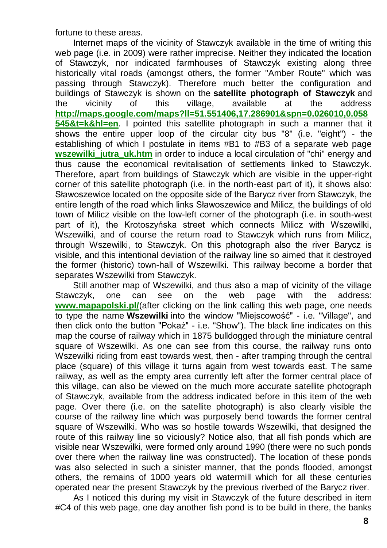fortune to these areas.

Internet maps of the vicinity of Stawczyk available in the time of writing this web page (i.e. in 2009) were rather imprecise. Neither they indicated the location of Stawczyk, nor indicated farmhouses of Stawczyk existing along three historically vital roads (amongst others, the former "Amber Route" which was passing through Stawczyk). Therefore much better the configuration and buildings of Stawczyk is shown on the **satellite photograph of Stawczyk** and the vicinity of this village, available at the address **[http://maps.google.com/maps?ll=51.551406,17.286901&spn=0.026010,0.058](http://maps.google.com/maps?ll=51.551406,17.286901&spn=0.026010,0.058545&t=k&hl=en) [545&t=k&hl=en](http://maps.google.com/maps?ll=51.551406,17.286901&spn=0.026010,0.058545&t=k&hl=en)**. I pointed this satellite photograph in such a manner that it shows the entire upper loop of the circular city bus "8" (i.e. "eight") - the establishing of which I postulate in items #B1 to #B3 of a separate web page **wszewilki jutra uk.htm** in order to induce a local circulation of "chi" energy and thus cause the economical revitalisation of settlements linked to Stawczyk. Therefore, apart from buildings of Stawczyk which are visible in the upper-right corner of this satellite photograph (i.e. in the north-east part of it), it shows also: Sławoszewice located on the opposite side of the Barycz river from Stawczyk, the entire length of the road which links Sławoszewice and Milicz, the buildings of old town of Milicz visible on the low-left corner of the photograph (i.e. in south-west part of it), the Krotoszyńska street which connects Milicz with Wszewilki, Wszewilki, and of course the return road to Stawczyk which runs from Milicz, through Wszewilki, to Stawczyk. On this photograph also the river Barycz is visible, and this intentional deviation of the railway line so aimed that it destroyed the former (historic) town-hall of Wszewilki. This railway become a border that separates Wszewilki from Stawczyk.

Still another map of Wszewilki, and thus also a map of vicinity of the village Stawczyk, one can see on the web page with the address: **[www.mapapolski.pl/](http://www.mapapolski.pl/)**(after clicking on the link calling this web page, one needs to type the name **Wszewilki** into the window "Miejscowość" - i.e. "Village", and then click onto the button "Pokaż" - i.e. "Show"). The black line indicates on this map the course of railway which in 1875 bulldogged through the miniature central square of Wszewilki. As one can see from this course, the railway runs onto Wszewilki riding from east towards west, then - after tramping through the central place (square) of this village it turns again from west towards east. The same railway, as well as the empty area currently left after the former central place of this village, can also be viewed on the much more accurate satellite photograph of Stawczyk, available from the address indicated before in this item of the web page. Over there (i.e. on the satellite photograph) is also clearly visible the course of the railway line which was purposely bend towards the former central square of Wszewilki. Who was so hostile towards Wszewilki, that designed the route of this railway line so viciously? Notice also, that all fish ponds which are visible near Wszewilki, were formed only around 1990 (there were no such ponds over there when the railway line was constructed). The location of these ponds was also selected in such a sinister manner, that the ponds flooded, amongst others, the remains of 1000 years old watermill which for all these centuries operated near the present Stawczyk by the previous riverbed of the Barycz river.

As I noticed this during my visit in Stawczyk of the future described in item #C4 of this web page, one day another fish pond is to be build in there, the banks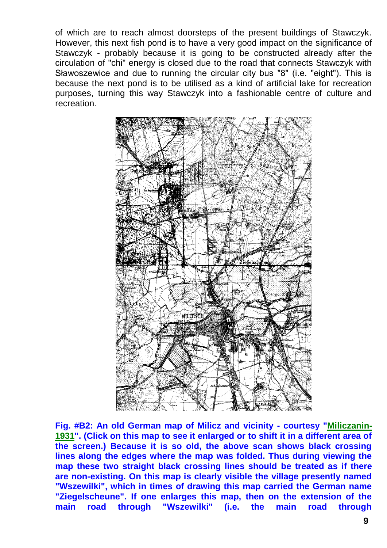of which are to reach almost doorsteps of the present buildings of Stawczyk. However, this next fish pond is to have a very good impact on the significance of Stawczyk - probably because it is going to be constructed already after the circulation of "chi" energy is closed due to the road that connects Stawczyk with Sławoszewice and due to running the circular city bus "8" (i.e. "eight"). This is because the next pond is to be utilised as a kind of artificial lake for recreation purposes, turning this way Stawczyk into a fashionable centre of culture and recreation.



**Fig. #B2: An old German map of Milicz and vicinity - courtesy ["Miliczanin-](http://totalizm.com.pl/bitwa_o_milicz_uk.htm)[1931"](http://totalizm.com.pl/bitwa_o_milicz_uk.htm). (Click on this map to see it enlarged or to shift it in a different area of the screen.) Because it is so old, the above scan shows black crossing lines along the edges where the map was folded. Thus during viewing the map these two straight black crossing lines should be treated as if there are non-existing. On this map is clearly visible the village presently named "Wszewilki", which in times of drawing this map carried the German name "Ziegelscheune". If one enlarges this map, then on the extension of the main road through "Wszewilki" (i.e. the main road through**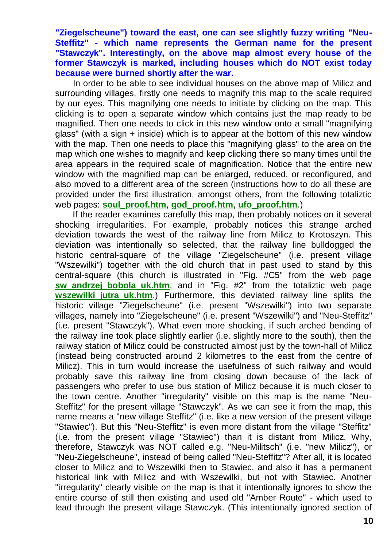**"Ziegelscheune") toward the east, one can see slightly fuzzy writing "Neu-Steffitz" - which name represents the German name for the present "Stawczyk". Interestingly, on the above map almost every house of the former Stawczyk is marked, including houses which do NOT exist today because were burned shortly after the war.**

In order to be able to see individual houses on the above map of Milicz and surrounding villages, firstly one needs to magnify this map to the scale required by our eyes. This magnifying one needs to initiate by clicking on the map. This clicking is to open a separate window which contains just the map ready to be magnified. Then one needs to click in this new window onto a small "magnifying glass" (with a sign + inside) which is to appear at the bottom of this new window with the map. Then one needs to place this "magnifying glass" to the area on the map which one wishes to magnify and keep clicking there so many times until the area appears in the required scale of magnification. Notice that the entire new window with the magnified map can be enlarged, reduced, or reconfigured, and also moved to a different area of the screen (instructions how to do all these are provided under the first illustration, amongst others, from the following totaliztic web pages: **[soul\\_proof.htm](http://totalizm.com.pl/soul_proof.htm)**, **[god\\_proof.htm](http://totalizm.com.pl/god_proof.htm)**, **[ufo\\_proof.htm](http://totalizm.com.pl/ufo_proof.htm)**.)

If the reader examines carefully this map, then probably notices on it several shocking irregularities. For example, probably notices this strange arched deviation towards the west of the railway line from Milicz to Krotoszyn. This deviation was intentionally so selected, that the railway line bulldogged the historic central-square of the village "Ziegelscheune" (i.e. present village "Wszewilki") together with the old church that in past used to stand by this central-square (this church is illustrated in "Fig. #C5" from the web page **sw andrzej bobola uk.htm**, and in "Fig. #2" from the totaliztic web page **wszewilki jutra uk.htm.)** Furthermore, this deviated railway line splits the historic village "Ziegelscheune" (i.e. present "Wszewilki") into two separate villages, namely into "Ziegelscheune" (i.e. present "Wszewilki") and "Neu-Steffitz" (i.e. present "Stawczyk"). What even more shocking, if such arched bending of the railway line took place slightly earlier (i.e. slightly more to the south), then the railway station of Milicz could be constructed almost just by the town-hall of Milicz (instead being constructed around 2 kilometres to the east from the centre of Milicz). This in turn would increase the usefulness of such railway and would probably save this railway line from closing down because of the lack of passengers who prefer to use bus station of Milicz because it is much closer to the town centre. Another "irregularity" visible on this map is the name "Neu-Steffitz" for the present village "Stawczyk". As we can see it from the map, this name means a "new village Steffitz" (i.e. like a new version of the present village "Stawiec"). But this "Neu-Steffitz" is even more distant from the village "Steffitz" (i.e. from the present village "Stawiec") than it is distant from Milicz. Why, therefore, Stawczyk was NOT called e.g. "Neu-Militsch" (i.e. "new Milicz"), or "Neu-Ziegelscheune", instead of being called "Neu-Steffitz"? After all, it is located closer to Milicz and to Wszewilki then to Stawiec, and also it has a permanent historical link with Milicz and with Wszewilki, but not with Stawiec. Another "irregularity" clearly visible on the map is that it intentionally ignores to show the entire course of still then existing and used old "Amber Route" - which used to lead through the present village Stawczyk. (This intentionally ignored section of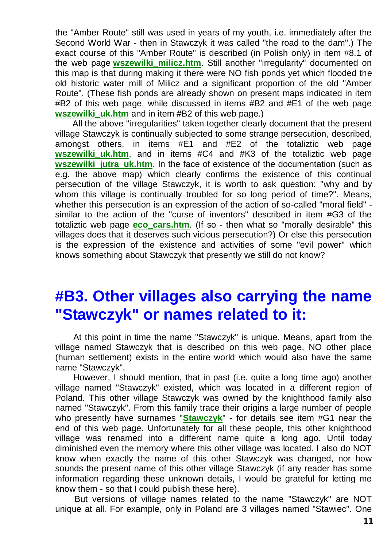the "Amber Route" still was used in years of my youth, i.e. immediately after the Second World War - then in Stawczyk it was called "the road to the dam".) The exact course of this "Amber Route" is described (in Polish only) in item #8.1 of the web page **[wszewilki\\_milicz.htm](http://totalizm.com.pl/wszewilki_milicz.htm)**. Still another "irregularity" documented on this map is that during making it there were NO fish ponds yet which flooded the old historic water mill of Milicz and a significant proportion of the old "Amber Route". (These fish ponds are already shown on present maps indicated in item #B2 of this web page, while discussed in items #B2 and #E1 of the web page **wszewilki** uk.htm and in item #B2 of this web page.)

All the above "irregularities" taken together clearly document that the present village Stawczyk is continually subjected to some strange persecution, described, amongst others, in items #E1 and #E2 of the totaliztic web page **wszewilki uk.htm**, and in items #C4 and #K3 of the totaliztic web page **wszewilki** jutra uk.htm. In the face of existence of the documentation (such as e.g. the above map) which clearly confirms the existence of this continual persecution of the village Stawczyk, it is worth to ask question: "why and by whom this village is continually troubled for so long period of time?". Means, whether this persecution is an expression of the action of so-called "moral field" similar to the action of the "curse of inventors" described in item #G3 of the totaliztic web page **[eco\\_cars.htm](http://totalizm.com.pl/eco_cars.htm)**. (If so - then what so "morally desirable" this villages does that it deserves such vicious persecution?) Or else this persecution is the expression of the existence and activities of some "evil power" which knows something about Stawczyk that presently we still do not know?

### **#B3. Other villages also carrying the name "Stawczyk" or names related to it:**

At this point in time the name "Stawczyk" is unique. Means, apart from the village named Stawczyk that is described on this web page, NO other place (human settlement) exists in the entire world which would also have the same name "Stawczyk".

However, I should mention, that in past (i.e. quite a long time ago) another village named "Stawczyk" existed, which was located in a different region of Poland. This other village Stawczyk was owned by the knighthood family also named "Stawczyk". From this family trace their origins a large number of people who presently have surnames "**[Stawczyk](http://www.google.com/search?q=Stawczyk)**" - for details see item #G1 near the end of this web page. Unfortunately for all these people, this other knighthood village was renamed into a different name quite a long ago. Until today diminished even the memory where this other village was located. I also do NOT know when exactly the name of this other Stawczyk was changed, nor how sounds the present name of this other village Stawczyk (if any reader has some information regarding these unknown details, I would be grateful for letting me know them - so that I could publish these here).

But versions of village names related to the name "Stawczyk" are NOT unique at all. For example, only in Poland are 3 villages named "Stawiec". One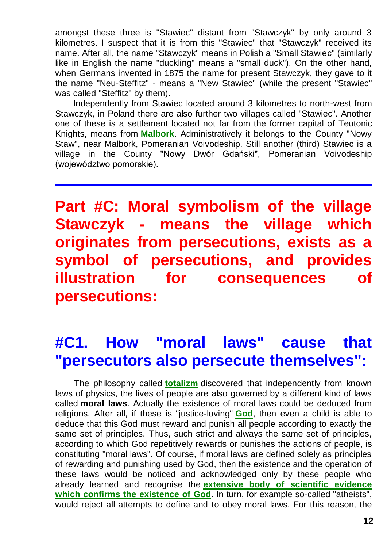amongst these three is "Stawiec" distant from "Stawczyk" by only around 3 kilometres. I suspect that it is from this "Stawiec" that "Stawczyk" received its name. After all, the name "Stawczyk" means in Polish a "Small Stawiec" (similarly like in English the name "duckling" means a "small duck"). On the other hand, when Germans invented in 1875 the name for present Stawczyk, they gave to it the name "Neu-Steffitz" - means a "New Stawiec" (while the present "Stawiec" was called "Steffitz" by them).

Independently from Stawiec located around 3 kilometres to north-west from Stawczyk, in Poland there are also further two villages called "Stawiec". Another one of these is a settlement located not far from the former capital of Teutonic Knights, means from **[Malbork](http://totalizm.com.pl/malbork_uk.htm)**. Administratively it belongs to the County "Nowy Staw", near Malbork, Pomeranian Voivodeship. Still another (third) Stawiec is a village in the County "Nowy Dwór Gdański", Pomeranian Voivodeship (województwo pomorskie).

**Part #C: Moral symbolism of the village Stawczyk - means the village which originates from persecutions, exists as a symbol of persecutions, and provides illustration for consequences of persecutions:**

# **#C1. How "moral laws" cause that "persecutors also persecute themselves":**

The philosophy called **[totalizm](http://totalizm.com.pl/totalizm.htm)** discovered that independently from known laws of physics, the lives of people are also governed by a different kind of laws called **moral laws**. Actually the existence of moral laws could be deduced from religions. After all, if these is "justice-loving" **[God](http://totalizm.com.pl/god.htm)**, then even a child is able to deduce that this God must reward and punish all people according to exactly the same set of principles. Thus, such strict and always the same set of principles, according to which God repetitively rewards or punishes the actions of people, is constituting "moral laws". Of course, if moral laws are defined solely as principles of rewarding and punishing used by God, then the existence and the operation of these laws would be noticed and acknowledged only by these people who already learned and recognise the **[extensive body of scientific evidence](http://totalizm.com.pl/god_proof.htm)  [which confirms the existence of God](http://totalizm.com.pl/god_proof.htm)**. In turn, for example so-called "atheists", would reject all attempts to define and to obey moral laws. For this reason, the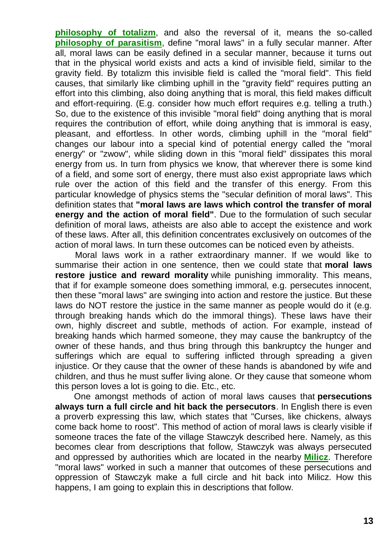**[philosophy of totalizm](http://totalizm.com.pl/totalizm.htm)**, and also the reversal of it, means the so-called **[philosophy of parasitism](http://totalizm.com.pl/parasitism.htm)**, define "moral laws" in a fully secular manner. After all, moral laws can be easily defined in a secular manner, because it turns out that in the physical world exists and acts a kind of invisible field, similar to the gravity field. By totalizm this invisible field is called the "moral field". This field causes, that similarly like climbing uphill in the "gravity field" requires putting an effort into this climbing, also doing anything that is moral, this field makes difficult and effort-requiring. (E.g. consider how much effort requires e.g. telling a truth.) So, due to the existence of this invisible "moral field" doing anything that is moral requires the contribution of effort, while doing anything that is immoral is easy, pleasant, and effortless. In other words, climbing uphill in the "moral field" changes our labour into a special kind of potential energy called the "moral energy" or "zwow", while sliding down in this "moral field" dissipates this moral energy from us. In turn from physics we know, that wherever there is some kind of a field, and some sort of energy, there must also exist appropriate laws which rule over the action of this field and the transfer of this energy. From this particular knowledge of physics stems the "secular definition of moral laws". This definition states that **"moral laws are laws which control the transfer of moral energy and the action of moral field"**. Due to the formulation of such secular definition of moral laws, atheists are also able to accept the existence and work of these laws. After all, this definition concentrates exclusively on outcomes of the action of moral laws. In turn these outcomes can be noticed even by atheists.

Moral laws work in a rather extraordinary manner. If we would like to summarise their action in one sentence, then we could state that **moral laws restore justice and reward morality** while punishing immorality. This means, that if for example someone does something immoral, e.g. persecutes innocent, then these "moral laws" are swinging into action and restore the justice. But these laws do NOT restore the justice in the same manner as people would do it (e.g. through breaking hands which do the immoral things). These laws have their own, highly discreet and subtle, methods of action. For example, instead of breaking hands which harmed someone, they may cause the bankruptcy of the owner of these hands, and thus bring through this bankruptcy the hunger and sufferings which are equal to suffering inflicted through spreading a given injustice. Or they cause that the owner of these hands is abandoned by wife and children, and thus he must suffer living alone. Or they cause that someone whom this person loves a lot is going to die. Etc., etc.

One amongst methods of action of moral laws causes that **persecutions always turn a full circle and hit back the persecutors**. In English there is even a proverb expressing this law, which states that "Curses, like chickens, always come back home to roost". This method of action of moral laws is clearly visible if someone traces the fate of the village Stawczyk described here. Namely, as this becomes clear from descriptions that follow, Stawczyk was always persecuted and oppressed by authorities which are located in the nearby **[Milicz](http://totalizm.com.pl/milicz_uk.htm)**. Therefore "moral laws" worked in such a manner that outcomes of these persecutions and oppression of Stawczyk make a full circle and hit back into Milicz. How this happens, I am going to explain this in descriptions that follow.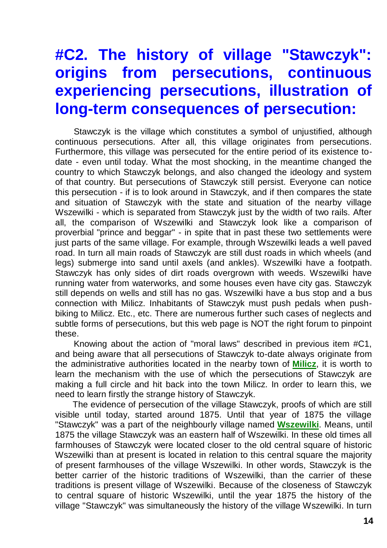# **#C2. The history of village "Stawczyk": origins from persecutions, continuous experiencing persecutions, illustration of long-term consequences of persecution:**

Stawczyk is the village which constitutes a symbol of unjustified, although continuous persecutions. After all, this village originates from persecutions. Furthermore, this village was persecuted for the entire period of its existence todate - even until today. What the most shocking, in the meantime changed the country to which Stawczyk belongs, and also changed the ideology and system of that country. But persecutions of Stawczyk still persist. Everyone can notice this persecution - if is to look around in Stawczyk, and if then compares the state and situation of Stawczyk with the state and situation of the nearby village Wszewilki - which is separated from Stawczyk just by the width of two rails. After all, the comparison of Wszewilki and Stawczyk look like a comparison of proverbial "prince and beggar" - in spite that in past these two settlements were just parts of the same village. For example, through Wszewilki leads a well paved road. In turn all main roads of Stawczyk are still dust roads in which wheels (and legs) submerge into sand until axels (and ankles). Wszewilki have a footpath. Stawczyk has only sides of dirt roads overgrown with weeds. Wszewilki have running water from waterworks, and some houses even have city gas. Stawczyk still depends on wells and still has no gas. Wszewilki have a bus stop and a bus connection with Milicz. Inhabitants of Stawczyk must push pedals when pushbiking to Milicz. Etc., etc. There are numerous further such cases of neglects and subtle forms of persecutions, but this web page is NOT the right forum to pinpoint these.

Knowing about the action of "moral laws" described in previous item #C1, and being aware that all persecutions of Stawczyk to-date always originate from the administrative authorities located in the nearby town of **[Milicz](http://totalizm.com.pl/milicz_uk.htm)**, it is worth to learn the mechanism with the use of which the persecutions of Stawczyk are making a full circle and hit back into the town Milicz. In order to learn this, we need to learn firstly the strange history of Stawczyk.

The evidence of persecution of the village Stawczyk, proofs of which are still visible until today, started around 1875. Until that year of 1875 the village "Stawczyk" was a part of the neighbourly village named **[Wszewilki](http://totalizm.com.pl/wszewilki_uk.htm)**. Means, until 1875 the village Stawczyk was an eastern half of Wszewilki. In these old times all farmhouses of Stawczyk were located closer to the old central square of historic Wszewilki than at present is located in relation to this central square the majority of present farmhouses of the village Wszewilki. In other words, Stawczyk is the better carrier of the historic traditions of Wszewilki, than the carrier of these traditions is present village of Wszewilki. Because of the closeness of Stawczyk to central square of historic Wszewilki, until the year 1875 the history of the village "Stawczyk" was simultaneously the history of the village Wszewilki. In turn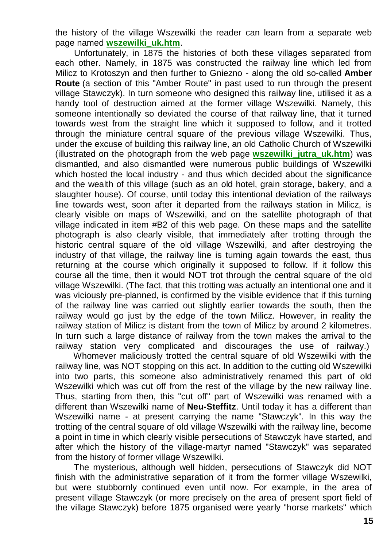the history of the village Wszewilki the reader can learn from a separate web page named **[wszewilki\\_uk.htm](http://totalizm.com.pl/wszewilki_uk.htm)**.

Unfortunately, in 1875 the histories of both these villages separated from each other. Namely, in 1875 was constructed the railway line which led from Milicz to Krotoszyn and then further to Gniezno - along the old so-called **Amber Route** (a section of this "Amber Route" in past used to run through the present village Stawczyk). In turn someone who designed this railway line, utilised it as a handy tool of destruction aimed at the former village Wszewilki. Namely, this someone intentionally so deviated the course of that railway line, that it turned towards west from the straight line which it supposed to follow, and it trotted through the miniature central square of the previous village Wszewilki. Thus, under the excuse of building this railway line, an old Catholic Church of Wszewilki (illustrated on the photograph from the web page **[wszewilki\\_jutra\\_uk.htm](http://totalizm.com.pl/wszewilki_jutra_uk.htm)**) was dismantled, and also dismantled were numerous public buildings of Wszewilki which hosted the local industry - and thus which decided about the significance and the wealth of this village (such as an old hotel, grain storage, bakery, and a slaughter house). Of course, until today this intentional deviation of the railways line towards west, soon after it departed from the railways station in Milicz, is clearly visible on maps of Wszewilki, and on the satellite photograph of that village indicated in item #B2 of this web page. On these maps and the satellite photograph is also clearly visible, that immediately after trotting through the historic central square of the old village Wszewilki, and after destroying the industry of that village, the railway line is turning again towards the east, thus returning at the course which originally it supposed to follow. If it follow this course all the time, then it would NOT trot through the central square of the old village Wszewilki. (The fact, that this trotting was actually an intentional one and it was viciously pre-planned, is confirmed by the visible evidence that if this turning of the railway line was carried out slightly earlier towards the south, then the railway would go just by the edge of the town Milicz. However, in reality the railway station of Milicz is distant from the town of Milicz by around 2 kilometres. In turn such a large distance of railway from the town makes the arrival to the railway station very complicated and discourages the use of railway.)

Whomever maliciously trotted the central square of old Wszewilki with the railway line, was NOT stopping on this act. In addition to the cutting old Wszewilki into two parts, this someone also administratively renamed this part of old Wszewilki which was cut off from the rest of the village by the new railway line. Thus, starting from then, this "cut off" part of Wszewilki was renamed with a different than Wszewilki name of **Neu-Steffitz**. Until today it has a different than Wszewilki name - at present carrying the name "Stawczyk". In this way the trotting of the central square of old village Wszewilki with the railway line, become a point in time in which clearly visible persecutions of Stawczyk have started, and after which the history of the village-martyr named "Stawczyk" was separated from the history of former village Wszewilki.

The mysterious, although well hidden, persecutions of Stawczyk did NOT finish with the administrative separation of it from the former village Wszewilki, but were stubbornly continued even until now. For example, in the area of present village Stawczyk (or more precisely on the area of present sport field of the village Stawczyk) before 1875 organised were yearly "horse markets" which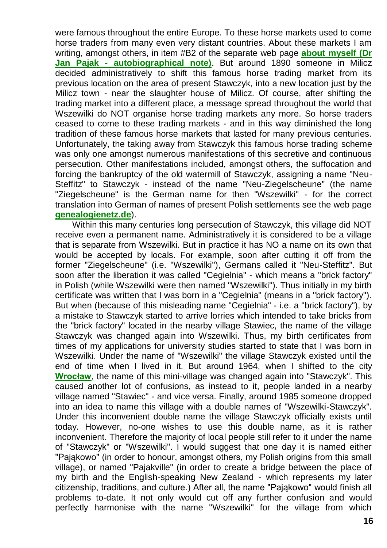were famous throughout the entire Europe. To these horse markets used to come horse traders from many even very distant countries. About these markets I am writing, amongst others, in item #B2 of the separate web page **[about myself \(Dr](http://totalizm.com.pl/pajak_jan_uk.htm)  Jan Pajak - [autobiographical note\)](http://totalizm.com.pl/pajak_jan_uk.htm)**. But around 1890 someone in Milicz decided administratively to shift this famous horse trading market from its previous location on the area of present Stawczyk, into a new location just by the Milicz town - near the slaughter house of Milicz. Of course, after shifting the trading market into a different place, a message spread throughout the world that Wszewilki do NOT organise horse trading markets any more. So horse traders ceased to come to these trading markets - and in this way diminished the long tradition of these famous horse markets that lasted for many previous centuries. Unfortunately, the taking away from Stawczyk this famous horse trading scheme was only one amongst numerous manifestations of this secretive and continuous persecution. Other manifestations included, amongst others, the suffocation and forcing the bankruptcy of the old watermill of Stawczyk, assigning a name "Neu-Steffitz" to Stawczyk - instead of the name "Neu-Ziegelscheune" (the name "Ziegelscheune" is the German name for then "Wszewilki" - for the correct translation into German of names of present Polish settlements see the web page **[genealogienetz.de](http://www.genealogienetz.de/reg/SCI/ortsliste/pol_W-d.html)**).

Within this many centuries long persecution of Stawczyk, this village did NOT receive even a permanent name. Administratively it is considered to be a village that is separate from Wszewilki. But in practice it has NO a name on its own that would be accepted by locals. For example, soon after cutting it off from the former "Ziegelscheune" (i.e. "Wszewilki"), Germans called it "Neu-Steffitz". But soon after the liberation it was called "Cegielnia" - which means a "brick factory" in Polish (while Wszewilki were then named "Wszewilki"). Thus initially in my birth certificate was written that I was born in a "Cegielnia" (means in a "brick factory"). But when (because of this misleading name "Cegielnia" - i.e. a "brick factory"), by a mistake to Stawczyk started to arrive lorries which intended to take bricks from the "brick factory" located in the nearby village Stawiec, the name of the village Stawczyk was changed again into Wszewilki. Thus, my birth certificates from times of my applications for university studies started to state that I was born in Wszewilki. Under the name of "Wszewilki" the village Stawczyk existed until the end of time when I lived in it. But around 1964, when I shifted to the city **[Wrocław](http://totalizm.com.pl/wroclaw_uk.htm)**, the name of this mini-village was changed again into "Stawczyk". This caused another lot of confusions, as instead to it, people landed in a nearby village named "Stawiec" - and vice versa. Finally, around 1985 someone dropped into an idea to name this village with a double names of "Wszewilki-Stawczyk". Under this inconvenient double name the village Stawczyk officially exists until today. However, no-one wishes to use this double name, as it is rather inconvenient. Therefore the majority of local people still refer to it under the name of "Stawczyk" or "Wszewilki". I would suggest that one day it is named either "Pająkowo" (in order to honour, amongst others, my Polish origins from this small village), or named "Pajakville" (in order to create a bridge between the place of my birth and the English-speaking New Zealand - which represents my later citizenship, traditions, and culture.) After all, the name "Pająkowo" would finish all problems to-date. It not only would cut off any further confusion and would perfectly harmonise with the name "Wszewilki" for the village from which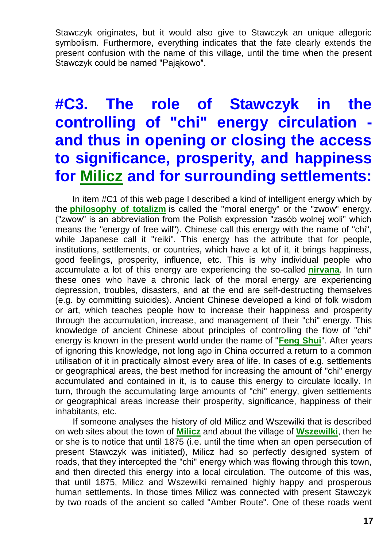Stawczyk originates, but it would also give to Stawczyk an unique allegoric symbolism. Furthermore, everything indicates that the fate clearly extends the present confusion with the name of this village, until the time when the present Stawczyk could be named "Pająkowo".

# **#C3. The role of Stawczyk in the controlling of "chi" energy circulation and thus in opening or closing the access to significance, prosperity, and happiness for [Milicz](http://totalizm.com.pl/milicz_uk.htm) and for surrounding settlements:**

In item #C1 of this web page I described a kind of intelligent energy which by the **[philosophy of totalizm](http://totalizm.com.pl/totalizm.htm)** is called the "moral energy" or the "zwow" energy. ("zwow" is an abbreviation from the Polish expression "zasób wolnej woli" which means the "energy of free will"). Chinese call this energy with the name of "chi", while Japanese call it "reiki". This energy has the attribute that for people, institutions, settlements, or countries, which have a lot of it, it brings happiness, good feelings, prosperity, influence, etc. This is why individual people who accumulate a lot of this energy are experiencing the so-called **[nirvana](http://totalizm.com.pl/nirvana.htm)**. In turn these ones who have a chronic lack of the moral energy are experiencing depression, troubles, disasters, and at the end are self-destructing themselves (e.g. by committing suicides). Ancient Chinese developed a kind of folk wisdom or art, which teaches people how to increase their happiness and prosperity through the accumulation, increase, and management of their "chi" energy. This knowledge of ancient Chinese about principles of controlling the flow of "chi" energy is known in the present world under the name of "**[Feng Shui](http://www.google.com/search?q=Feng+Shui)**". After years of ignoring this knowledge, not long ago in China occurred a return to a common utilisation of it in practically almost every area of life. In cases of e.g. settlements or geographical areas, the best method for increasing the amount of "chi" energy accumulated and contained in it, is to cause this energy to circulate locally. In turn, through the accumulating large amounts of "chi" energy, given settlements or geographical areas increase their prosperity, significance, happiness of their inhabitants, etc.

If someone analyses the history of old Milicz and Wszewilki that is described on web sites about the town of **[Milicz](http://totalizm.com.pl/milicz_uk.htm)** and about the village of **[Wszewilki](http://totalizm.com.pl/wszewilki_uk.htm)**, then he or she is to notice that until 1875 (i.e. until the time when an open persecution of present Stawczyk was initiated), Milicz had so perfectly designed system of roads, that they intercepted the "chi" energy which was flowing through this town, and then directed this energy into a local circulation. The outcome of this was, that until 1875, Milicz and Wszewilki remained highly happy and prosperous human settlements. In those times Milicz was connected with present Stawczyk by two roads of the ancient so called "Amber Route". One of these roads went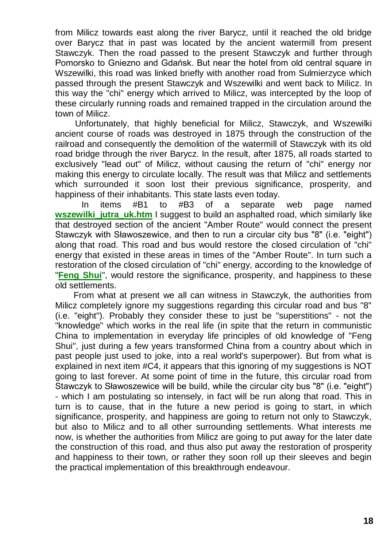from Milicz towards east along the river Barycz, until it reached the old bridge over Barycz that in past was located by the ancient watermill from present Stawczyk. Then the road passed to the present Stawczyk and further through Pomorsko to Gniezno and Gdańsk. But near the hotel from old central square in Wszewilki, this road was linked briefly with another road from Sulmierzyce which passed through the present Stawczyk and Wszewilki and went back to Milicz. In this way the "chi" energy which arrived to Milicz, was intercepted by the loop of these circularly running roads and remained trapped in the circulation around the town of Milicz.

Unfortunately, that highly beneficial for Milicz, Stawczyk, and Wszewilki ancient course of roads was destroyed in 1875 through the construction of the railroad and consequently the demolition of the watermill of Stawczyk with its old road bridge through the river Barycz. In the result, after 1875, all roads started to exclusively "lead out" of Milicz, without causing the return of "chi" energy nor making this energy to circulate locally. The result was that Milicz and settlements which surrounded it soon lost their previous significance, prosperity, and happiness of their inhabitants. This state lasts even today.

In items #B1 to #B3 of a separate web page named **wszewilki** jutra uk.htm I suggest to build an asphalted road, which similarly like that destroyed section of the ancient "Amber Route" would connect the present Stawczyk with Sławoszewice, and then to run a circular city bus "8" (i.e. "eight") along that road. This road and bus would restore the closed circulation of "chi" energy that existed in these areas in times of the "Amber Route". In turn such a restoration of the closed circulation of "chi" energy, according to the knowledge of "**[Feng Shui](http://www.google.com/search?q=Feng+Shui)**", would restore the significance, prosperity, and happiness to these old settlements.

From what at present we all can witness in Stawczyk, the authorities from Milicz completely ignore my suggestions regarding this circular road and bus "8" (i.e. "eight"). Probably they consider these to just be "superstitions" - not the "knowledge" which works in the real life (in spite that the return in communistic China to implementation in everyday life principles of old knowledge of "Feng Shui", just during a few years transformed China from a country about which in past people just used to joke, into a real world's superpower). But from what is explained in next item #C4, it appears that this ignoring of my suggestions is NOT going to last forever. At some point of time in the future, this circular road from Stawczyk to Sławoszewice will be build, while the circular city bus "8" (i.e. "eight") - which I am postulating so intensely, in fact will be run along that road. This in turn is to cause, that in the future a new period is going to start, in which significance, prosperity, and happiness are going to return not only to Stawczyk, but also to Milicz and to all other surrounding settlements. What interests me now, is whether the authorities from Milicz are going to put away for the later date the construction of this road, and thus also put away the restoration of prosperity and happiness to their town, or rather they soon roll up their sleeves and begin the practical implementation of this breakthrough endeavour.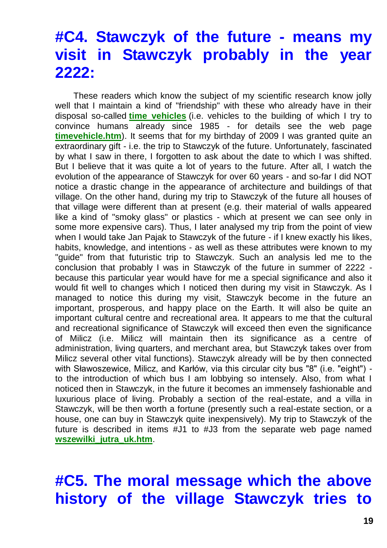### **#C4. Stawczyk of the future - means my visit in Stawczyk probably in the year 2222:**

These readers which know the subject of my scientific research know jolly well that I maintain a kind of "friendship" with these who already have in their disposal so-called **[time vehicles](http://totalizm.com.pl/immortality.htm)** (i.e. vehicles to the building of which I try to convince humans already since 1985 - for details see the web page **[timevehicle.htm](http://totalizm.com.pl/timevehicle.htm)**). It seems that for my birthday of 2009 I was granted quite an extraordinary gift - i.e. the trip to Stawczyk of the future. Unfortunately, fascinated by what I saw in there, I forgotten to ask about the date to which I was shifted. But I believe that it was quite a lot of years to the future. After all, I watch the evolution of the appearance of Stawczyk for over 60 years - and so-far I did NOT notice a drastic change in the appearance of architecture and buildings of that village. On the other hand, during my trip to Stawczyk of the future all houses of that village were different than at present (e.g. their material of walls appeared like a kind of "smoky glass" or plastics - which at present we can see only in some more expensive cars). Thus, I later analysed my trip from the point of view when I would take Jan Pajak to Stawczyk of the future - if I knew exactly his likes, habits, knowledge, and intentions - as well as these attributes were known to my "guide" from that futuristic trip to Stawczyk. Such an analysis led me to the conclusion that probably I was in Stawczyk of the future in summer of 2222 because this particular year would have for me a special significance and also it would fit well to changes which I noticed then during my visit in Stawczyk. As I managed to notice this during my visit, Stawczyk become in the future an important, prosperous, and happy place on the Earth. It will also be quite an important cultural centre and recreational area. It appears to me that the cultural and recreational significance of Stawczyk will exceed then even the significance of Milicz (i.e. Milicz will maintain then its significance as a centre of administration, living quarters, and merchant area, but Stawczyk takes over from Milicz several other vital functions). Stawczyk already will be by then connected with Sławoszewice, Milicz, and Karłów, via this circular city bus "8" (i.e. "eight") to the introduction of which bus I am lobbying so intensely. Also, from what I noticed then in Stawczyk, in the future it becomes an immensely fashionable and luxurious place of living. Probably a section of the real-estate, and a villa in Stawczyk, will be then worth a fortune (presently such a real-estate section, or a house, one can buy in Stawczyk quite inexpensively). My trip to Stawczyk of the future is described in items #J1 to #J3 from the separate web page named **[wszewilki\\_jutra\\_uk.htm](http://totalizm.com.pl/wszewilki_jutra_uk.htm)**.

**#C5. The moral message which the above history of the village Stawczyk tries to**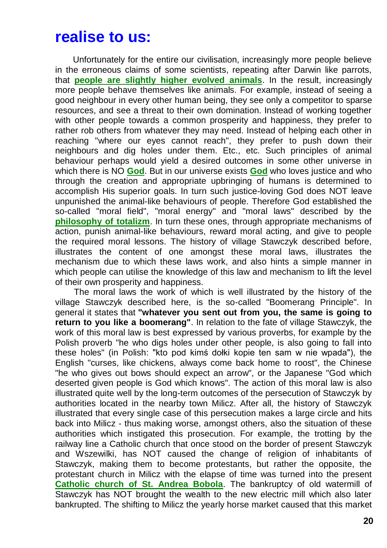#### **realise to us:**

Unfortunately for the entire our civilisation, increasingly more people believe in the erroneous claims of some scientists, repeating after Darwin like parrots, that **[people are slightly higher evolved animals](http://totalizm.com.pl/evolution.htm)**. In the result, increasingly more people behave themselves like animals. For example, instead of seeing a good neighbour in every other human being, they see only a competitor to sparse resources, and see a threat to their own domination. Instead of working together with other people towards a common prosperity and happiness, they prefer to rather rob others from whatever they may need. Instead of helping each other in reaching "where our eyes cannot reach", they prefer to push down their neighbours and dig holes under them. Etc., etc. Such principles of animal behaviour perhaps would yield a desired outcomes in some other universe in which there is NO **[God](http://totalizm.com.pl/god.htm)**. But in our universe exists **[God](http://totalizm.com.pl/god_proof.htm)** who loves justice and who through the creation and appropriate upbringing of humans is determined to accomplish His superior goals. In turn such justice-loving God does NOT leave unpunished the animal-like behaviours of people. Therefore God established the so-called "moral field", "moral energy" and "moral laws" described by the **[philosophy of totalizm](http://totalizm.com.pl/totalizm.htm)**. In turn these ones, through appropriate mechanisms of action, punish animal-like behaviours, reward moral acting, and give to people the required moral lessons. The history of village Stawczyk described before, illustrates the content of one amongst these moral laws, illustrates the mechanism due to which these laws work, and also hints a simple manner in which people can utilise the knowledge of this law and mechanism to lift the level of their own prosperity and happiness.

The moral laws the work of which is well illustrated by the history of the village Stawczyk described here, is the so-called "Boomerang Principle". In general it states that **"whatever you sent out from you, the same is going to return to you like a boomerang"**. In relation to the fate of village Stawczyk, the work of this moral law is best expressed by various proverbs, for example by the Polish proverb "he who digs holes under other people, is also going to fall into these holes" (in Polish: "kto pod kimś dołki kopie ten sam w nie wpada"), the English "curses, like chickens, always come back home to roost", the Chinese "he who gives out bows should expect an arrow", or the Japanese "God which deserted given people is God which knows". The action of this moral law is also illustrated quite well by the long-term outcomes of the persecution of Stawczyk by authorities located in the nearby town Milicz. After all, the history of Stawczyk illustrated that every single case of this persecution makes a large circle and hits back into Milicz - thus making worse, amongst others, also the situation of these authorities which instigated this prosecution. For example, the trotting by the railway line a Catholic church that once stood on the border of present Stawczyk and Wszewilki, has NOT caused the change of religion of inhabitants of Stawczyk, making them to become protestants, but rather the opposite, the protestant church in Milicz with the elapse of time was turned into the present **[Catholic church of St. Andrea Bobola](http://totalizm.com.pl/sw_andrzej_bobola_uk.htm)**. The bankruptcy of old watermill of Stawczyk has NOT brought the wealth to the new electric mill which also later bankrupted. The shifting to Milicz the yearly horse market caused that this market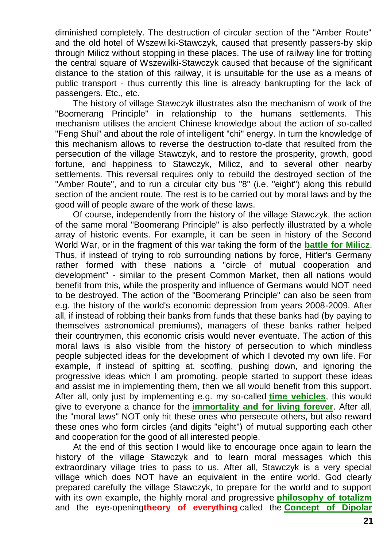diminished completely. The destruction of circular section of the "Amber Route" and the old hotel of Wszewilki-Stawczyk, caused that presently passers-by skip through Milicz without stopping in these places. The use of railway line for trotting the central square of Wszewilki-Stawczyk caused that because of the significant distance to the station of this railway, it is unsuitable for the use as a means of public transport - thus currently this line is already bankrupting for the lack of passengers. Etc., etc.

The history of village Stawczyk illustrates also the mechanism of work of the "Boomerang Principle" in relationship to the humans settlements. This mechanism utilises the ancient Chinese knowledge about the action of so-called "Feng Shui" and about the role of intelligent "chi" energy. In turn the knowledge of this mechanism allows to reverse the destruction to-date that resulted from the persecution of the village Stawczyk, and to restore the prosperity, growth, good fortune, and happiness to Stawczyk, Milicz, and to several other nearby settlements. This reversal requires only to rebuild the destroyed section of the "Amber Route", and to run a circular city bus "8" (i.e. "eight") along this rebuild section of the ancient route. The rest is to be carried out by moral laws and by the good will of people aware of the work of these laws.

Of course, independently from the history of the village Stawczyk, the action of the same moral "Boomerang Principle" is also perfectly illustrated by a whole array of historic events. For example, it can be seen in history of the Second World War, or in the fragment of this war taking the form of the **[battle for Milicz](http://totalizm.com.pl/bitwa_o_milicz_uk.htm)**. Thus, if instead of trying to rob surrounding nations by force, Hitler's Germany rather formed with these nations a "circle of mutual cooperation and development" - similar to the present Common Market, then all nations would benefit from this, while the prosperity and influence of Germans would NOT need to be destroyed. The action of the "Boomerang Principle" can also be seen from e.g. the history of the world's economic depression from years 2008-2009. After all, if instead of robbing their banks from funds that these banks had (by paying to themselves astronomical premiums), managers of these banks rather helped their countrymen, this economic crisis would never eventuate. The action of this moral laws is also visible from the history of persecution to which mindless people subjected ideas for the development of which I devoted my own life. For example, if instead of spitting at, scoffing, pushing down, and ignoring the progressive ideas which I am promoting, people started to support these ideas and assist me in implementing them, then we all would benefit from this support. After all, only just by implementing e.g. my so-called **[time vehicles](http://totalizm.com.pl/timevehicle.htm)**, this would give to everyone a chance for the **[immortality and for living forever](http://totalizm.com.pl/immortality.htm)**. After all, the "moral laws" NOT only hit these ones who persecute others, but also reward these ones who form circles (and digits "eight") of mutual supporting each other and cooperation for the good of all interested people.

At the end of this section I would like to encourage once again to learn the history of the village Stawczyk and to learn moral messages which this extraordinary village tries to pass to us. After all, Stawczyk is a very special village which does NOT have an equivalent in the entire world. God clearly prepared carefully the village Stawczyk, to prepare for the world and to support with its own example, the highly moral and progressive **[philosophy of totalizm](http://totalizm.com.pl/totalizm.htm)** and the eye-opening**theory of everything** called the **[Concept of Dipolar](http://totalizm.com.pl/dipolar_gravity.htm)**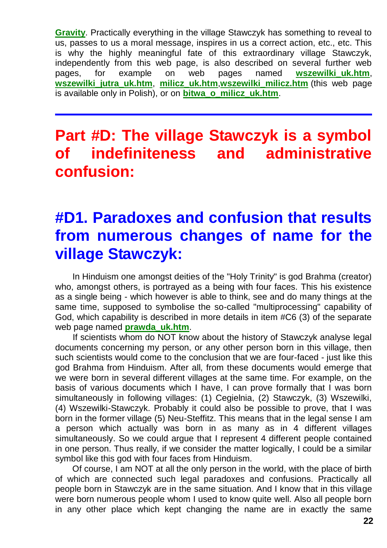**[Gravity](http://totalizm.com.pl/dipolar_gravity.htm)**. Practically everything in the village Stawczyk has something to reveal to us, passes to us a moral message, inspires in us a correct action, etc., etc. This is why the highly meaningful fate of this extraordinary village Stawczyk, independently from this web page, is also described on several further web pages, for example on web pages named wszewilkiuk.htm, **[wszewilki\\_jutra\\_uk.htm](http://totalizm.com.pl/wszewilki_jutra_uk.htm)**, **[milicz\\_uk.htm](http://totalizm.com.pl/milicz_uk.htm)**,**[wszewilki\\_milicz.htm](http://totalizm.com.pl/wszewilki_milicz.htm)** (this web page is available only in Polish), or on **[bitwa\\_o\\_milicz\\_uk.htm](http://totalizm.com.pl/bitwa_o_milicz_uk.htm)**.

## **Part #D: The village Stawczyk is a symbol of indefiniteness and administrative confusion:**

# **#D1. Paradoxes and confusion that results from numerous changes of name for the village Stawczyk:**

In Hinduism one amongst deities of the "Holy Trinity" is god Brahma (creator) who, amongst others, is portrayed as a being with four faces. This his existence as a single being - which however is able to think, see and do many things at the same time, supposed to symbolise the so-called "multiprocessing" capability of God, which capability is described in more details in item #C6 (3) of the separate web page named **[prawda\\_uk.htm](http://totalizm.com.pl/prawda_uk.htm)**.

If scientists whom do NOT know about the history of Stawczyk analyse legal documents concerning my person, or any other person born in this village, then such scientists would come to the conclusion that we are four-faced - just like this god Brahma from Hinduism. After all, from these documents would emerge that we were born in several different villages at the same time. For example, on the basis of various documents which I have, I can prove formally that I was born simultaneously in following villages: (1) Cegielnia, (2) Stawczyk, (3) Wszewilki, (4) Wszewilki-Stawczyk. Probably it could also be possible to prove, that I was born in the former village (5) Neu-Steffitz. This means that in the legal sense I am a person which actually was born in as many as in 4 different villages simultaneously. So we could argue that I represent 4 different people contained in one person. Thus really, if we consider the matter logically, I could be a similar symbol like this god with four faces from Hinduism.

Of course, I am NOT at all the only person in the world, with the place of birth of which are connected such legal paradoxes and confusions. Practically all people born in Stawczyk are in the same situation. And I know that in this village were born numerous people whom I used to know quite well. Also all people born in any other place which kept changing the name are in exactly the same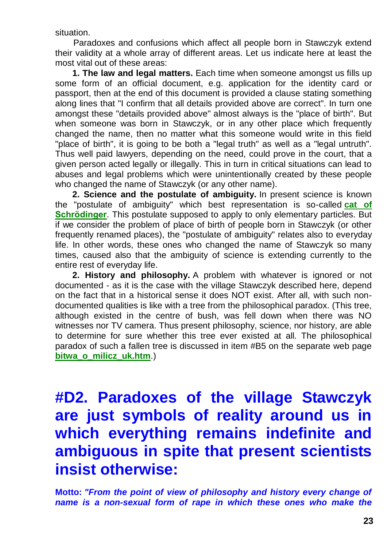situation.

Paradoxes and confusions which affect all people born in Stawczyk extend their validity at a whole array of different areas. Let us indicate here at least the most vital out of these areas:

**1. The law and legal matters.** Each time when someone amongst us fills up some form of an official document, e.g. application for the identity card or passport, then at the end of this document is provided a clause stating something along lines that "I confirm that all details provided above are correct". In turn one amongst these "details provided above" almost always is the "place of birth". But when someone was born in Stawczyk, or in any other place which frequently changed the name, then no matter what this someone would write in this field "place of birth", it is going to be both a "legal truth" as well as a "legal untruth". Thus well paid lawyers, depending on the need, could prove in the court, that a given person acted legally or illegally. This in turn in critical situations can lead to abuses and legal problems which were unintentionally created by these people who changed the name of Stawczyk (or any other name).

**2. Science and the postulate of ambiguity.** In present science is known the "postulate of ambiguity" which best representation is so-called **[cat of](http://www.google.com/search?hl=en&q=Schroedinger+cat&btnG=Search)  [Schrödinger](http://www.google.com/search?hl=en&q=Schroedinger+cat&btnG=Search)**. This postulate supposed to apply to only elementary particles. But if we consider the problem of place of birth of people born in Stawczyk (or other frequently renamed places), the "postulate of ambiguity" relates also to everyday life. In other words, these ones who changed the name of Stawczyk so many times, caused also that the ambiguity of science is extending currently to the entire rest of everyday life.

**2. History and philosophy.** A problem with whatever is ignored or not documented - as it is the case with the village Stawczyk described here, depend on the fact that in a historical sense it does NOT exist. After all, with such nondocumented qualities is like with a tree from the philosophical paradox. (This tree, although existed in the centre of bush, was fell down when there was NO witnesses nor TV camera. Thus present philosophy, science, nor history, are able to determine for sure whether this tree ever existed at all. The philosophical paradox of such a fallen tree is discussed in item #B5 on the separate web page **[bitwa\\_o\\_milicz\\_uk.htm](http://totalizm.com.pl/bitwa_o_milicz_uk.htm)**.)

# **#D2. Paradoxes of the village Stawczyk are just symbols of reality around us in which everything remains indefinite and ambiguous in spite that present scientists insist otherwise:**

**Motto:** *"From the point of view of philosophy and history every change of name is a non-sexual form of rape in which these ones who make the*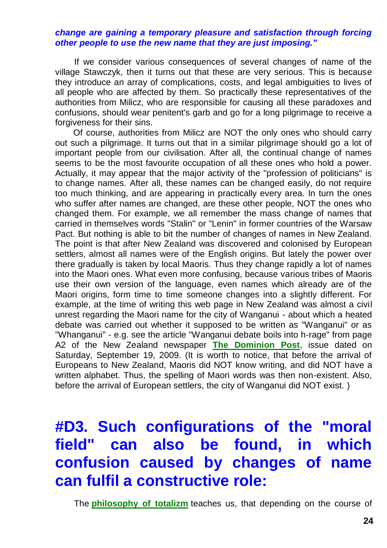#### *change are gaining a temporary pleasure and satisfaction through forcing other people to use the new name that they are just imposing."*

If we consider various consequences of several changes of name of the village Stawczyk, then it turns out that these are very serious. This is because they introduce an array of complications, costs, and legal ambiguities to lives of all people who are affected by them. So practically these representatives of the authorities from Milicz, who are responsible for causing all these paradoxes and confusions, should wear penitent's garb and go for a long pilgrimage to receive a forgiveness for their sins.

Of course, authorities from Milicz are NOT the only ones who should carry out such a pilgrimage. It turns out that in a similar pilgrimage should go a lot of important people from our civilisation. After all, the continual change of names seems to be the most favourite occupation of all these ones who hold a power. Actually, it may appear that the major activity of the "profession of politicians" is to change names. After all, these names can be changed easily, do not require too much thinking, and are appearing in practically every area. In turn the ones who suffer after names are changed, are these other people, NOT the ones who changed them. For example, we all remember the mass change of names that carried in themselves words "Stalin" or "Lenin" in former countries of the Warsaw Pact. But nothing is able to bit the number of changes of names in New Zealand. The point is that after New Zealand was discovered and colonised by European settlers, almost all names were of the English origins. But lately the power over there gradually is taken by local Maoris. Thus they change rapidly a lot of names into the Maori ones. What even more confusing, because various tribes of Maoris use their own version of the language, even names which already are of the Maori origins, form time to time someone changes into a slightly different. For example, at the time of writing this web page in New Zealand was almost a civil unrest regarding the Maori name for the city of Wanganui - about which a heated debate was carried out whether it supposed to be written as "Wanganui" or as "Whanganui" - e.g. see the article "Wanganui debate boils into h-rage" from page A2 of the New Zealand newspaper **[The Dominion Post](http://www.dominionpost.com/)**, issue dated on Saturday, September 19, 2009. (It is worth to notice, that before the arrival of Europeans to New Zealand, Maoris did NOT know writing, and did NOT have a written alphabet. Thus, the spelling of Maori words was then non-existent. Also, before the arrival of European settlers, the city of Wanganui did NOT exist. )

# **#D3. Such configurations of the "moral field" can also be found, in which confusion caused by changes of name can fulfil a constructive role:**

The **[philosophy of totalizm](http://totalizm.com.pl/totalizm.htm)** teaches us, that depending on the course of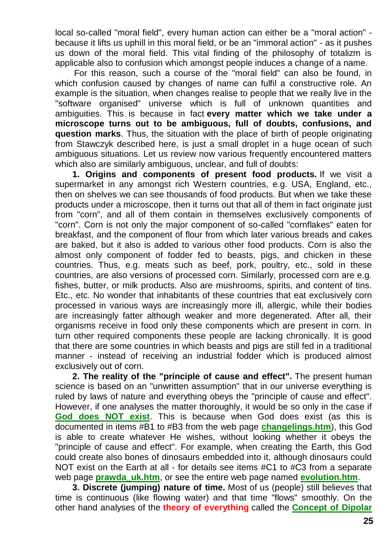local so-called "moral field", every human action can either be a "moral action" because it lifts us uphill in this moral field, or be an "immoral action" - as it pushes us down of the moral field. This vital finding of the philosophy of totalizm is applicable also to confusion which amongst people induces a change of a name.

For this reason, such a course of the "moral field" can also be found, in which confusion caused by changes of name can fulfil a constructive role. An example is the situation, when changes realise to people that we really live in the "software organised" universe which is full of unknown quantities and ambiguities. This is because in fact **every matter which we take under a microscope turns out to be ambiguous, full of doubts, confusions, and question marks**. Thus, the situation with the place of birth of people originating from Stawczyk described here, is just a small droplet in a huge ocean of such ambiguous situations. Let us review now various frequently encountered matters which also are similarly ambiguous, unclear, and full of doubts:

**1. Origins and components of present food products.** If we visit a supermarket in any amongst rich Western countries, e.g. USA, England, etc., then on shelves we can see thousands of food products. But when we take these products under a microscope, then it turns out that all of them in fact originate just from "corn", and all of them contain in themselves exclusively components of "corn". Corn is not only the major component of so-called "cornflakes" eaten for breakfast, and the component of flour from which later various breads and cakes are baked, but it also is added to various other food products. Corn is also the almost only component of fodder fed to beasts, pigs, and chicken in these countries. Thus, e.g. meats such as beef, pork, poultry, etc., sold in these countries, are also versions of processed corn. Similarly, processed corn are e.g. fishes, butter, or milk products. Also are mushrooms, spirits, and content of tins. Etc., etc. No wonder that inhabitants of these countries that eat exclusively corn processed in various ways are increasingly more ill, allergic, while their bodies are increasingly fatter although weaker and more degenerated. After all, their organisms receive in food only these components which are present in corn. In turn other required components these people are lacking chronically. It is good that there are some countries in which beasts and pigs are still fed in a traditional manner - instead of receiving an industrial fodder which is produced almost exclusively out of corn.

**2. The reality of the "principle of cause and effect".** The present human science is based on an "unwritten assumption" that in our universe everything is ruled by laws of nature and everything obeys the "principle of cause and effect". However, if one analyses the matter thoroughly, it would be so only in the case if **[God does NOT exist](http://totalizm.com.pl/god.htm)**. This is because when God does exist (as this is documented in items #B1 to #B3 from the web page **[changelings.htm](http://totalizm.com.pl/changelings.htm)**), this God is able to create whatever He wishes, without looking whether it obeys the "principle of cause and effect". For example, when creating the Earth, this God could create also bones of dinosaurs embedded into it, although dinosaurs could NOT exist on the Earth at all - for details see items #C1 to #C3 from a separate web page **[prawda\\_uk.htm](http://totalizm.com.pl/prawda_uk.htm)**, or see the entire web page named **[evolution.htm](http://totalizm.com.pl/evolution.htm)**.

**3. Discrete (jumping) nature of time.** Most of us (people) still believes that time is continuous (like flowing water) and that time "flows" smoothly. On the other hand analyses of the **theory of everything** called the **[Concept of Dipolar](http://totalizm.com.pl/dipolar_gravity.htm)**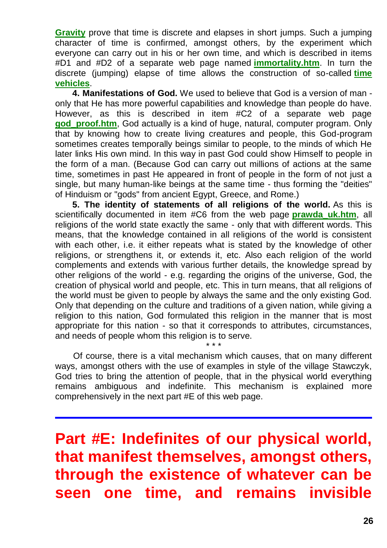**[Gravity](http://totalizm.com.pl/dipolar_gravity.htm)** prove that time is discrete and elapses in short jumps. Such a jumping character of time is confirmed, amongst others, by the experiment which everyone can carry out in his or her own time, and which is described in items #D1 and #D2 of a separate web page named **[immortality.htm](http://totalizm.com.pl/immortality.htm)**. In turn the discrete (jumping) elapse of time allows the construction of so-called **[time](http://totalizm.com.pl/timevehicle.htm)  [vehicles](http://totalizm.com.pl/timevehicle.htm)**.

**4. Manifestations of God.** We used to believe that God is a version of man only that He has more powerful capabilities and knowledge than people do have. However, as this is described in item #C2 of a separate web page **[god\\_proof.htm](http://totalizm.com.pl/god_proof.htm)**, God actually is a kind of huge, natural, computer program. Only that by knowing how to create living creatures and people, this God-program sometimes creates temporally beings similar to people, to the minds of which He later links His own mind. In this way in past God could show Himself to people in the form of a man. (Because God can carry out millions of actions at the same time, sometimes in past He appeared in front of people in the form of not just a single, but many human-like beings at the same time - thus forming the "deities" of Hinduism or "gods" from ancient Egypt, Greece, and Rome.)

**5. The identity of statements of all religions of the world.** As this is scientifically documented in item #C6 from the web page **[prawda\\_uk.htm](http://totalizm.com.pl/prawda_uk.htm)**, all religions of the world state exactly the same - only that with different words. This means, that the knowledge contained in all religions of the world is consistent with each other, i.e. it either repeats what is stated by the knowledge of other religions, or strengthens it, or extends it, etc. Also each religion of the world complements and extends with various further details, the knowledge spread by other religions of the world - e.g. regarding the origins of the universe, God, the creation of physical world and people, etc. This in turn means, that all religions of the world must be given to people by always the same and the only existing God. Only that depending on the culture and traditions of a given nation, while giving a religion to this nation, God formulated this religion in the manner that is most appropriate for this nation - so that it corresponds to attributes, circumstances, and needs of people whom this religion is to serve.

Of course, there is a vital mechanism which causes, that on many different ways, amongst others with the use of examples in style of the village Stawczyk, God tries to bring the attention of people, that in the physical world everything remains ambiguous and indefinite. This mechanism is explained more comprehensively in the next part #E of this web page.

\* \* \*

**Part #E: Indefinites of our physical world, that manifest themselves, amongst others, through the existence of whatever can be seen one time, and remains invisible**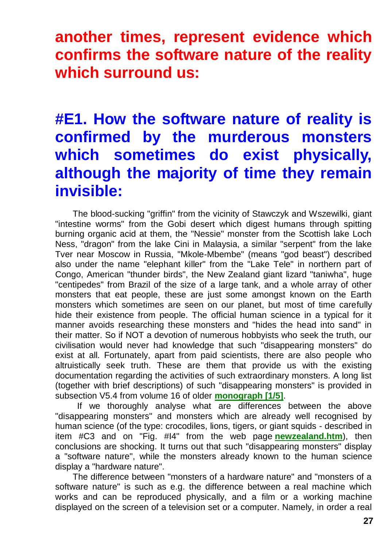**another times, represent evidence which confirms the software nature of the reality which surround us:**

# **#E1. How the software nature of reality is confirmed by the murderous monsters which sometimes do exist physically, although the majority of time they remain invisible:**

The blood-sucking "griffin" from the vicinity of Stawczyk and Wszewilki, giant "intestine worms" from the Gobi desert which digest humans through spitting burning organic acid at them, the "Nessie" monster from the Scottish lake Loch Ness, "dragon" from the lake Cini in Malaysia, a similar "serpent" from the lake Tver near Moscow in Russia, "Mkole-Mbembe" (means "god beast") described also under the name "elephant killer" from the "Lake Tele" in northern part of Congo, American "thunder birds", the New Zealand giant lizard "taniwha", huge "centipedes" from Brazil of the size of a large tank, and a whole array of other monsters that eat people, these are just some amongst known on the Earth monsters which sometimes are seen on our planet, but most of time carefully hide their existence from people. The official human science in a typical for it manner avoids researching these monsters and "hides the head into sand" in their matter. So if NOT a devotion of numerous hobbyists who seek the truth, our civilisation would never had knowledge that such "disappearing monsters" do exist at all. Fortunately, apart from paid scientists, there are also people who altruistically seek truth. These are them that provide us with the existing documentation regarding the activities of such extraordinary monsters. A long list (together with brief descriptions) of such "disappearing monsters" is provided in subsection V5.4 from volume 16 of older **[monograph \[1/5\]](http://totalizm.com.pl/text_1_5.htm)**.

If we thoroughly analyse what are differences between the above "disappearing monsters" and monsters which are already well recognised by human science (of the type: crocodiles, lions, tigers, or giant squids - described in item #C3 and on "Fig. #I4" from the web page **[newzealand.htm](http://totalizm.com.pl/newzealand.htm)**), then conclusions are shocking. It turns out that such "disappearing monsters" display a "software nature", while the monsters already known to the human science display a "hardware nature".

The difference between "monsters of a hardware nature" and "monsters of a software nature" is such as e.g. the difference between a real machine which works and can be reproduced physically, and a film or a working machine displayed on the screen of a television set or a computer. Namely, in order a real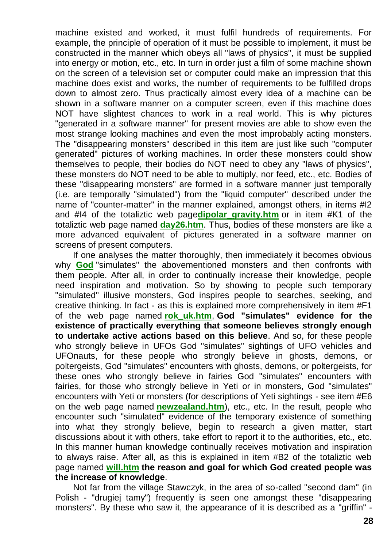machine existed and worked, it must fulfil hundreds of requirements. For example, the principle of operation of it must be possible to implement, it must be constructed in the manner which obeys all "laws of physics", it must be supplied into energy or motion, etc., etc. In turn in order just a film of some machine shown on the screen of a television set or computer could make an impression that this machine does exist and works, the number of requirements to be fulfilled drops down to almost zero. Thus practically almost every idea of a machine can be shown in a software manner on a computer screen, even if this machine does NOT have slightest chances to work in a real world. This is why pictures "generated in a software manner" for present movies are able to show even the most strange looking machines and even the most improbably acting monsters. The "disappearing monsters" described in this item are just like such "computer generated" pictures of working machines. In order these monsters could show themselves to people, their bodies do NOT need to obey any "laws of physics", these monsters do NOT need to be able to multiply, nor feed, etc., etc. Bodies of these "disappearing monsters" are formed in a software manner just temporally (i.e. are temporally "simulated") from the "liquid computer" described under the name of "counter-matter" in the manner explained, amongst others, in items #I2 and #I4 of the totaliztic web page**[dipolar\\_gravity.htm](http://totalizm.com.pl/dipolar_gravity.htm)** or in item #K1 of the totaliztic web page named **[day26.htm](http://totalizm.com.pl/day26.htm)**. Thus, bodies of these monsters are like a more advanced equivalent of pictures generated in a software manner on screens of present computers.

If one analyses the matter thoroughly, then immediately it becomes obvious why **[God](http://totalizm.com.pl/god.htm)** "simulates" the abovementioned monsters and then confronts with them people. After all, in order to continually increase their knowledge, people need inspiration and motivation. So by showing to people such temporary "simulated" illusive monsters, God inspires people to searches, seeking, and creative thinking. In fact - as this is explained more comprehensively in item #F1 of the web page named **[rok\\_uk.htm](http://totalizm.com.pl/rok_uk.htm)**, **God "simulates" evidence for the existence of practically everything that someone believes strongly enough to undertake active actions based on this believe**. And so, for these people who strongly believe in UFOs God "simulates" sightings of UFO vehicles and UFOnauts, for these people who strongly believe in ghosts, demons, or poltergeists, God "simulates" encounters with ghosts, demons, or poltergeists, for these ones who strongly believe in fairies God "simulates" encounters with fairies, for those who strongly believe in Yeti or in monsters, God "simulates" encounters with Yeti or monsters (for descriptions of Yeti sightings - see item #E6 on the web page named **[newzealand.htm](http://totalizm.com.pl/newzealand.htm)**), etc., etc. In the result, people who encounter such "simulated" evidence of the temporary existence of something into what they strongly believe, begin to research a given matter, start discussions about it with others, take effort to report it to the authorities, etc., etc. In this manner human knowledge continually receives motivation and inspiration to always raise. After all, as this is explained in item #B2 of the totaliztic web page named **[will.htm](http://totalizm.com.pl/will.htm) the reason and goal for which God created people was the increase of knowledge**.

Not far from the village Stawczyk, in the area of so-called "second dam" (in Polish - "drugiej tamy") frequently is seen one amongst these "disappearing monsters". By these who saw it, the appearance of it is described as a "griffin" -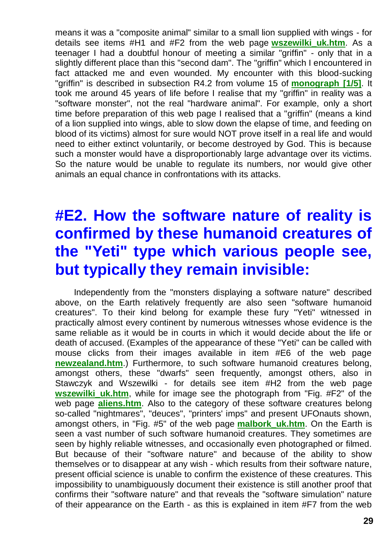means it was a "composite animal" similar to a small lion supplied with wings - for details see items #H1 and #F2 from the web page **[wszewilki\\_uk.htm](http://totalizm.com.pl/wszewilki_uk.htm)**. As a teenager I had a doubtful honour of meeting a similar "griffin" - only that in a slightly different place than this "second dam". The "griffin" which I encountered in fact attacked me and even wounded. My encounter with this blood-sucking "griffin" is described in subsection R4.2 from volume 15 of **[monograph \[1/5\]](http://totalizm.com.pl/text_1_5.htm)**. It took me around 45 years of life before I realise that my "griffin" in reality was a "software monster", not the real "hardware animal". For example, only a short time before preparation of this web page I realised that a "griffin" (means a kind of a lion supplied into wings, able to slow down the elapse of time, and feeding on blood of its victims) almost for sure would NOT prove itself in a real life and would need to either extinct voluntarily, or become destroyed by God. This is because such a monster would have a disproportionably large advantage over its victims. So the nature would be unable to regulate its numbers, nor would give other animals an equal chance in confrontations with its attacks.

# **#E2. How the software nature of reality is confirmed by these humanoid creatures of the "Yeti" type which various people see, but typically they remain invisible:**

Independently from the "monsters displaying a software nature" described above, on the Earth relatively frequently are also seen "software humanoid creatures". To their kind belong for example these fury "Yeti" witnessed in practically almost every continent by numerous witnesses whose evidence is the same reliable as it would be in courts in which it would decide about the life or death of accused. (Examples of the appearance of these "Yeti" can be called with mouse clicks from their images available in item #E6 of the web page **[newzealand.htm](http://totalizm.com.pl/newzealand.htm)**.) Furthermore, to such software humanoid creatures belong, amongst others, these "dwarfs" seen frequently, amongst others, also in Stawczyk and Wszewilki - for details see item #H2 from the web page **wszewilki uk.htm**, while for image see the photograph from "Fig. #F2" of the web page **[aliens.htm](http://totalizm.com.pl/aliens.htm)**. Also to the category of these software creatures belong so-called "nightmares", "deuces", "printers' imps" and present UFOnauts shown, amongst others, in "Fig. #5" of the web page **[malbork\\_uk.htm](http://totalizm.com.pl/malbork_uk.htm)**. On the Earth is seen a vast number of such software humanoid creatures. They sometimes are seen by highly reliable witnesses, and occasionally even photographed or filmed. But because of their "software nature" and because of the ability to show themselves or to disappear at any wish - which results from their software nature, present official science is unable to confirm the existence of these creatures. This impossibility to unambiguously document their existence is still another proof that confirms their "software nature" and that reveals the "software simulation" nature of their appearance on the Earth - as this is explained in item #F7 from the web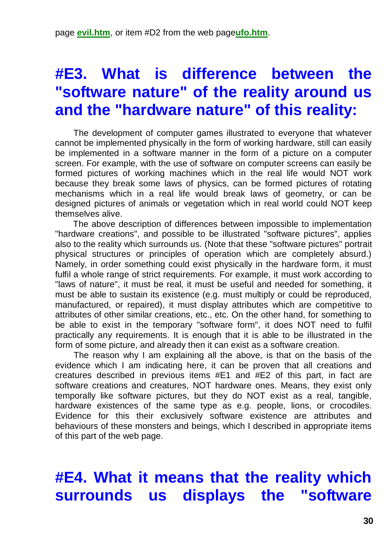# **#E3. What is difference between the "software nature" of the reality around us and the "hardware nature" of this reality:**

The development of computer games illustrated to everyone that whatever cannot be implemented physically in the form of working hardware, still can easily be implemented in a software manner in the form of a picture on a computer screen. For example, with the use of software on computer screens can easily be formed pictures of working machines which in the real life would NOT work because they break some laws of physics, can be formed pictures of rotating mechanisms which in a real life would break laws of geometry, or can be designed pictures of animals or vegetation which in real world could NOT keep themselves alive.

The above description of differences between impossible to implementation "hardware creations", and possible to be illustrated "software pictures", applies also to the reality which surrounds us. (Note that these "software pictures" portrait physical structures or principles of operation which are completely absurd.) Namely, in order something could exist physically in the hardware form, it must fulfil a whole range of strict requirements. For example, it must work according to "laws of nature", it must be real, it must be useful and needed for something, it must be able to sustain its existence (e.g. must multiply or could be reproduced, manufactured, or repaired), it must display attributes which are competitive to attributes of other similar creations, etc., etc. On the other hand, for something to be able to exist in the temporary "software form", it does NOT need to fulfil practically any requirements. It is enough that it is able to be illustrated in the form of some picture, and already then it can exist as a software creation.

The reason why I am explaining all the above, is that on the basis of the evidence which I am indicating here, it can be proven that all creations and creatures described in previous items #E1 and #E2 of this part, in fact are software creations and creatures, NOT hardware ones. Means, they exist only temporally like software pictures, but they do NOT exist as a real, tangible, hardware existences of the same type as e.g. people, lions, or crocodiles. Evidence for this their exclusively software existence are attributes and behaviours of these monsters and beings, which I described in appropriate items of this part of the web page.

## **#E4. What it means that the reality which surrounds us displays the "software**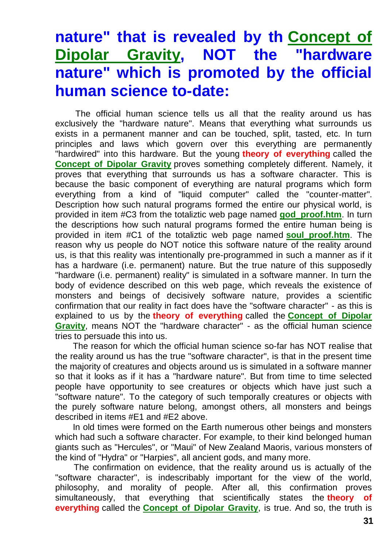## **nature" that is revealed by th [Concept of](http://totalizm.com.pl/dipolar_gravity.htm)  [Dipolar Gravity,](http://totalizm.com.pl/dipolar_gravity.htm) NOT the "hardware nature" which is promoted by the official human science to-date:**

The official human science tells us all that the reality around us has exclusively the "hardware nature". Means that everything what surrounds us exists in a permanent manner and can be touched, split, tasted, etc. In turn principles and laws which govern over this everything are permanently "hardwired" into this hardware. But the young **theory of everything** called the **[Concept of Dipolar Gravity](http://totalizm.com.pl/dipolar_gravity.htm)** proves something completely different. Namely, it proves that everything that surrounds us has a software character. This is because the basic component of everything are natural programs which form everything from a kind of "liquid computer" called the "counter-matter". Description how such natural programs formed the entire our physical world, is provided in item #C3 from the totaliztic web page named **[god\\_proof.htm](http://totalizm.com.pl/god_proof.htm)**. In turn the descriptions how such natural programs formed the entire human being is provided in item #C1 of the totaliztic web page named **[soul\\_proof.htm](http://totalizm.com.pl/soul_proof.htm)**. The reason why us people do NOT notice this software nature of the reality around us, is that this reality was intentionally pre-programmed in such a manner as if it has a hardware (i.e. permanent) nature. But the true nature of this supposedly "hardware (i.e. permanent) reality" is simulated in a software manner. In turn the body of evidence described on this web page, which reveals the existence of monsters and beings of decisively software nature, provides a scientific confirmation that our reality in fact does have the "software character" - as this is explained to us by the **theory of everything** called the **[Concept of Dipolar](http://totalizm.com.pl/dipolar_gravity.htm)  [Gravity](http://totalizm.com.pl/dipolar_gravity.htm)**, means NOT the "hardware character" - as the official human science tries to persuade this into us.

The reason for which the official human science so-far has NOT realise that the reality around us has the true "software character", is that in the present time the majority of creatures and objects around us is simulated in a software manner so that it looks as if it has a "hardware nature". But from time to time selected people have opportunity to see creatures or objects which have just such a "software nature". To the category of such temporally creatures or objects with the purely software nature belong, amongst others, all monsters and beings described in items #E1 and #E2 above.

In old times were formed on the Earth numerous other beings and monsters which had such a software character. For example, to their kind belonged human giants such as "Hercules", or "Maui" of New Zealand Maoris, various monsters of the kind of "Hydra" or "Harpies", all ancient gods, and many more.

The confirmation on evidence, that the reality around us is actually of the "software character", is indescribably important for the view of the world, philosophy, and morality of people. After all, this confirmation proves simultaneously, that everything that scientifically states the **theory of everything** called the **[Concept of Dipolar Gravity](http://totalizm.com.pl/dipolar_gravity.htm)**, is true. And so, the truth is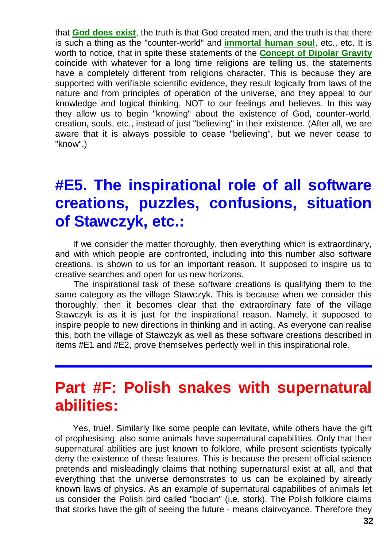that **[God does exist](http://totalizm.com.pl/god_proof.htm)**, the truth is that God created men, and the truth is that there is such a thing as the "counter-world" and **[immortal human soul](http://totalizm.com.pl/soul_proof.htm)**, etc., etc. It is worth to notice, that in spite these statements of the **[Concept of Dipolar Gravity](http://totalizm.com.pl/dipolar_gravity.htm)** coincide with whatever for a long time religions are telling us, the statements have a completely different from religions character. This is because they are supported with verifiable scientific evidence, they result logically from laws of the nature and from principles of operation of the universe, and they appeal to our knowledge and logical thinking, NOT to our feelings and believes. In this way they allow us to begin "knowing" about the existence of God, counter-world, creation, souls, etc., instead of just "believing" in their existence. (After all, we are aware that it is always possible to cease "believing", but we never cease to "know".)

### **#E5. The inspirational role of all software creations, puzzles, confusions, situation of Stawczyk, etc.:**

If we consider the matter thoroughly, then everything which is extraordinary, and with which people are confronted, including into this number also software creations, is shown to us for an important reason. It supposed to inspire us to creative searches and open for us new horizons.

The inspirational task of these software creations is qualifying them to the same category as the village Stawczyk. This is because when we consider this thoroughly, then it becomes clear that the extraordinary fate of the village Stawczyk is as it is just for the inspirational reason. Namely, it supposed to inspire people to new directions in thinking and in acting. As everyone can realise this, both the village of Stawczyk as well as these software creations described in items #E1 and #E2, prove themselves perfectly well in this inspirational role.

#### **Part #F: Polish snakes with supernatural abilities:**

Yes, true!. Similarly like some people can levitate, while others have the gift of prophesising, also some animals have supernatural capabilities. Only that their supernatural abilities are just known to folklore, while present scientists typically deny the existence of these features. This is because the present official science pretends and misleadingly claims that nothing supernatural exist at all, and that everything that the universe demonstrates to us can be explained by already known laws of physics. As an example of supernatural capabilities of animals let us consider the Polish bird called "bocian" (i.e. stork). The Polish folklore claims that storks have the gift of seeing the future - means clairvoyance. Therefore they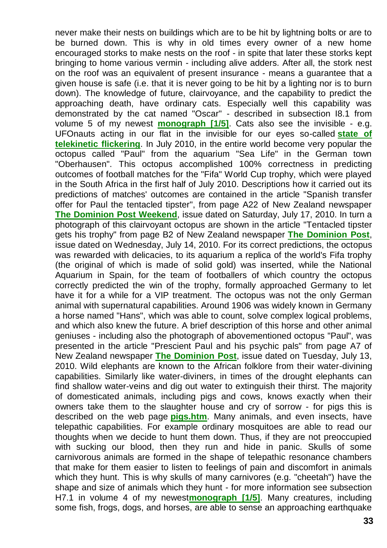never make their nests on buildings which are to be hit by lightning bolts or are to be burned down. This is why in old times every owner of a new home encouraged storks to make nests on the roof - in spite that later these storks kept bringing to home various vermin - including alive adders. After all, the stork nest on the roof was an equivalent of present insurance - means a guarantee that a given house is safe (i.e. that it is never going to be hit by a lighting nor is to burn down). The knowledge of future, clairvoyance, and the capability to predict the approaching death, have ordinary cats. Especially well this capability was demonstrated by the cat named "Oscar" - described in subsection I8.1 from volume 5 of my newest **[monograph \[1/5\]](http://totalizm.com.pl/text_1_5.htm)**. Cats also see the invisible - e.g. UFOnauts acting in our flat in the invisible for our eyes so-called **[state of](http://totalizm.com.pl/dipolar_gravity.htm)  [telekinetic flickering](http://totalizm.com.pl/dipolar_gravity.htm)**. In July 2010, in the entire world become very popular the octopus called "Paul" from the aquarium "Sea Life" in the German town "Oberhausen". This octopus accomplished 100% correctness in predicting outcomes of football matches for the "Fifa" World Cup trophy, which were played in the South Africa in the first half of July 2010. Descriptions how it carried out its predictions of matches' outcomes are contained in the article "Spanish transfer offer for Paul the tentacled tipster", from page A22 of New Zealand newspaper **[The Dominion Post Weekend](http://www.dompost.co.nz/)**, issue dated on Saturday, July 17, 2010. In turn a photograph of this clairvoyant octopus are shown in the article "Tentacled tipster gets his trophy" from page B2 of New Zealand newspaper **[The Dominion Post](http://www.dompost.co.nz/)**, issue dated on Wednesday, July 14, 2010. For its correct predictions, the octopus was rewarded with delicacies, to its aquarium a replica of the world's Fifa trophy (the original of which is made of solid gold) was inserted, while the National Aquarium in Spain, for the team of footballers of which country the octopus correctly predicted the win of the trophy, formally approached Germany to let have it for a while for a VIP treatment. The octopus was not the only German animal with supernatural capabilities. Around 1906 was widely known in Germany a horse named "Hans", which was able to count, solve complex logical problems, and which also knew the future. A brief description of this horse and other animal geniuses - including also the photograph of abovementioned octopus "Paul", was presented in the article "Prescient Paul and his psychic pals" from page A7 of New Zealand newspaper **[The Dominion Post](http://www.dompost.co.nz/)**, issue dated on Tuesday, July 13, 2010. Wild elephants are known to the African folklore from their water-divining capabilities. Similarly like water-diviners, in times of the drought elephants can find shallow water-veins and dig out water to extinguish their thirst. The majority of domesticated animals, including pigs and cows, knows exactly when their owners take them to the slaughter house and cry of sorrow - for pigs this is described on the web page **[pigs.htm](http://totalizm.com.pl/pigs.htm)**. Many animals, and even insects, have telepathic capabilities. For example ordinary mosquitoes are able to read our thoughts when we decide to hunt them down. Thus, if they are not preoccupied with sucking our blood, then they run and hide in panic. Skulls of some carnivorous animals are formed in the shape of telepathic resonance chambers that make for them easier to listen to feelings of pain and discomfort in animals which they hunt. This is why skulls of many carnivores (e.g. "cheetah") have the shape and size of animals which they hunt - for more information see subsection H7.1 in volume 4 of my newest**[monograph \[1/5\]](http://totalizm.com.pl/text_1_5.htm)**. Many creatures, including some fish, frogs, dogs, and horses, are able to sense an approaching earthquake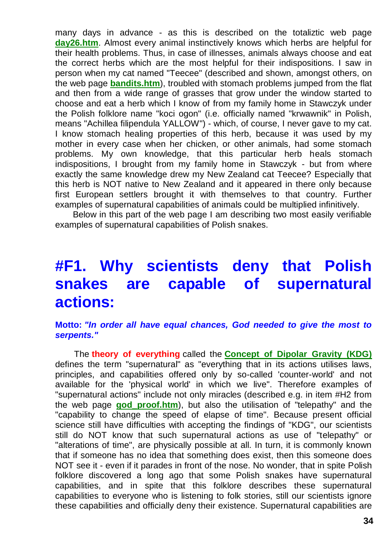many days in advance - as this is described on the totaliztic web page **[day26.htm](http://totalizm.com.pl/day26.htm)**. Almost every animal instinctively knows which herbs are helpful for their health problems. Thus, in case of illnesses, animals always choose and eat the correct herbs which are the most helpful for their indispositions. I saw in person when my cat named "Teecee" (described and shown, amongst others, on the web page **[bandits.htm](http://totalizm.com.pl/bandits.htm)**), troubled with stomach problems jumped from the flat and then from a wide range of grasses that grow under the window started to choose and eat a herb which I know of from my family home in Stawczyk under the Polish folklore name "koci ogon" (i.e. officially named "krwawnik" in Polish, means "Achillea filipendula YALLOW") - which, of course, I never gave to my cat. I know stomach healing properties of this herb, because it was used by my mother in every case when her chicken, or other animals, had some stomach problems. My own knowledge, that this particular herb heals stomach indispositions, I brought from my family home in Stawczyk - but from where exactly the same knowledge drew my New Zealand cat Teecee? Especially that this herb is NOT native to New Zealand and it appeared in there only because first European settlers brought it with themselves to that country. Further examples of supernatural capabilities of animals could be multiplied infinitively.

Below in this part of the web page I am describing two most easily verifiable examples of supernatural capabilities of Polish snakes.

### **#F1. Why scientists deny that Polish snakes are capable of supernatural actions:**

#### **Motto:** *"In order all have equal chances, God needed to give the most to serpents."*

The **theory of everything** called the **[Concept of Dipolar Gravity \(KDG\)](http://totalizm.com.pl/dipolar_gravity.htm)** defines the term "supernatural" as "everything that in its actions utilises laws, principles, and capabilities offered only by so-called 'counter-world' and not available for the 'physical world' in which we live". Therefore examples of "supernatural actions" include not only miracles (described e.g. in item #H2 from the web page **[god\\_proof.htm](http://totalizm.com.pl/god_proof.htm)**), but also the utilisation of "telepathy" and the "capability to change the speed of elapse of time". Because present official science still have difficulties with accepting the findings of "KDG", our scientists still do NOT know that such supernatural actions as use of "telepathy" or "alterations of time", are physically possible at all. In turn, it is commonly known that if someone has no idea that something does exist, then this someone does NOT see it - even if it parades in front of the nose. No wonder, that in spite Polish folklore discovered a long ago that some Polish snakes have supernatural capabilities, and in spite that this folklore describes these supernatural capabilities to everyone who is listening to folk stories, still our scientists ignore these capabilities and officially deny their existence. Supernatural capabilities are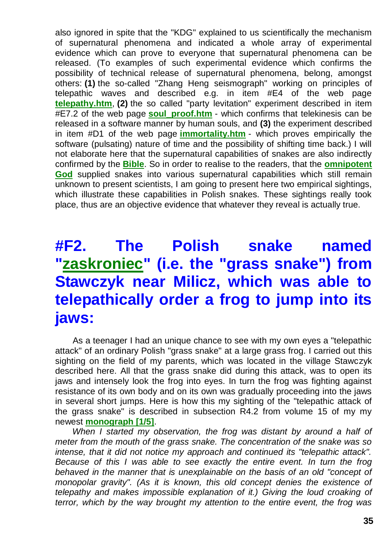also ignored in spite that the "KDG" explained to us scientifically the mechanism of supernatural phenomena and indicated a whole array of experimental evidence which can prove to everyone that supernatural phenomena can be released. (To examples of such experimental evidence which confirms the possibility of technical release of supernatural phenomena, belong, amongst others: **(1)** the so-called "Zhang Heng seismograph" working on principles of telepathic waves and described e.g. in item #E4 of the web page **[telepathy.htm](http://totalizm.com.pl/telepathy.htm)**, **(2)** the so called "party levitation" experiment described in item #E7.2 of the web page **soul proof.htm** - which confirms that telekinesis can be released in a software manner by human souls, and **(3)** the experiment described in item #D1 of the web page **[immortality.htm](http://totalizm.com.pl/immortality.htm)** - which proves empirically the software (pulsating) nature of time and the possibility of shifting time back.) I will not elaborate here that the supernatural capabilities of snakes are also indirectly confirmed by the **[Bible](http://totalizm.com.pl/bible.htm)**. So in order to realise to the readers, that the **[omnipotent](http://totalizm.com.pl/god.htm)  [God](http://totalizm.com.pl/god.htm)** supplied snakes into various supernatural capabilities which still remain unknown to present scientists, I am going to present here two empirical sightings, which illustrate these capabilities in Polish snakes. These sightings really took place, thus are an objective evidence that whatever they reveal is actually true.

# **#F2. The Polish snake named ["zaskroniec"](http://www.google.pl/search?hl=pl&source=hp&q=zaskroniec&lr=lang_pl&aq=f&oq=) (i.e. the "grass snake") from Stawczyk near Milicz, which was able to telepathically order a frog to jump into its jaws:**

As a teenager I had an unique chance to see with my own eyes a "telepathic attack" of an ordinary Polish "grass snake" at a large grass frog. I carried out this sighting on the field of my parents, which was located in the village Stawczyk described here. All that the grass snake did during this attack, was to open its jaws and intensely look the frog into eyes. In turn the frog was fighting against resistance of its own body and on its own was gradually proceeding into the jaws in several short jumps. Here is how this my sighting of the "telepathic attack of the grass snake" is described in subsection R4.2 from volume 15 of my my newest **[monograph \[1/5\]](http://totalizm.com.pl/text_1_5.htm)**.

*When I started my observation, the frog was distant by around a half of meter from the mouth of the grass snake. The concentration of the snake was so intense, that it did not notice my approach and continued its "telepathic attack". Because of this I was able to see exactly the entire event. In turn the frog*  behaved in the manner that is unexplainable on the basis of an old "concept of *monopolar gravity". (As it is known, this old concept denies the existence of telepathy and makes impossible explanation of it.) Giving the loud croaking of terror, which by the way brought my attention to the entire event, the frog was*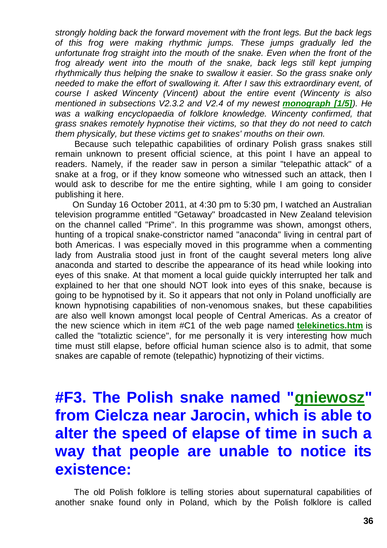*strongly holding back the forward movement with the front legs. But the back legs of this frog were making rhythmic jumps. These jumps gradually led the unfortunate frog straight into the mouth of the snake. Even when the front of the frog already went into the mouth of the snake, back legs still kept jumping rhythmically thus helping the snake to swallow it easier. So the grass snake only needed to make the effort of swallowing it. After I saw this extraordinary event, of course I asked Wincenty (Vincent) about the entire event (Wincenty is also mentioned in subsections V2.3.2 and V2.4 of my newest [monograph \[1/5\]](http://totalizm.com.pl/text_1_5.htm)). He*  was a walking encyclopaedia of folklore knowledge. Wincenty confirmed, that *grass snakes remotely hypnotise their victims, so that they do not need to catch them physically, but these victims get to snakes' mouths on their own.*

Because such telepathic capabilities of ordinary Polish grass snakes still remain unknown to present official science, at this point I have an appeal to readers. Namely, if the reader saw in person a similar "telepathic attack" of a snake at a frog, or if they know someone who witnessed such an attack, then I would ask to describe for me the entire sighting, while I am going to consider publishing it here.

On Sunday 16 October 2011, at 4:30 pm to 5:30 pm, I watched an Australian television programme entitled "Getaway" broadcasted in New Zealand television on the channel called "Prime". In this programme was shown, amongst others, hunting of a tropical snake-constrictor named "anaconda" living in central part of both Americas. I was especially moved in this programme when a commenting lady from Australia stood just in front of the caught several meters long alive anaconda and started to describe the appearance of its head while looking into eyes of this snake. At that moment a local guide quickly interrupted her talk and explained to her that one should NOT look into eyes of this snake, because is going to be hypnotised by it. So it appears that not only in Poland unofficially are known hypnotising capabilities of non-venomous snakes, but these capabilities are also well known amongst local people of Central Americas. As a creator of the new science which in item #C1 of the web page named **[telekinetics.htm](http://totalizm.com.pl/telekinetics.htm)** is called the "totaliztic science", for me personally it is very interesting how much time must still elapse, before official human science also is to admit, that some snakes are capable of remote (telepathic) hypnotizing of their victims.

# **#F3. The Polish snake named ["gniewosz"](http://www.google.pl/search?hl=pl&source=hp&q=gniewosz&lr=lang_pl&aq=f&oq=) from Cielcza near Jarocin, which is able to alter the speed of elapse of time in such a way that people are unable to notice its existence:**

The old Polish folklore is telling stories about supernatural capabilities of another snake found only in Poland, which by the Polish folklore is called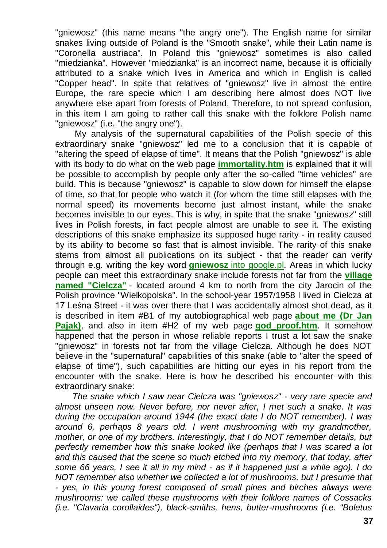"gniewosz" (this name means "the angry one"). The English name for similar snakes living outside of Poland is the "Smooth snake", while their Latin name is "Coronella austriaca". In Poland this "gniewosz" sometimes is also called "miedzianka". However "miedzianka" is an incorrect name, because it is officially attributed to a snake which lives in America and which in English is called "Copper head". In spite that relatives of "gniewosz" live in almost the entire Europe, the rare specie which I am describing here almost does NOT live anywhere else apart from forests of Poland. Therefore, to not spread confusion, in this item I am going to rather call this snake with the folklore Polish name "gniewosz" (i.e. "the angry one").

My analysis of the supernatural capabilities of the Polish specie of this extraordinary snake "gniewosz" led me to a conclusion that it is capable of "altering the speed of elapse of time". It means that the Polish "gniewosz" is able with its body to do what on the web page **[immortality.htm](http://totalizm.com.pl/immortality.htm)** is explained that it will be possible to accomplish by people only after the so-called "time vehicles" are build. This is because "gniewosz" is capable to slow down for himself the elapse of time, so that for people who watch it (for whom the time still elapses with the normal speed) its movements become just almost instant, while the snake becomes invisible to our eyes. This is why, in spite that the snake "gniewosz" still lives in Polish forests, in fact people almost are unable to see it. The existing descriptions of this snake emphasize its supposed huge rarity - in reality caused by its ability to become so fast that is almost invisible. The rarity of this snake stems from almost all publications on its subject - that the reader can verify through e.g. writing the key word **gniewosz** [into google.pl.](http://www.google.pl/search?hl=pl&source=hp&q=gniewosz&lr=lang_pl&aq=f&oq=) Areas in which lucky people can meet this extraordinary snake include forests not far from the **[village](http://totalizm.com.pl/cielcza_uk.htm)  [named "Cielcza"](http://totalizm.com.pl/cielcza_uk.htm)** - located around 4 km to north from the city Jarocin of the Polish province "Wielkopolska". In the school-year 1957/1958 I lived in Cielcza at 17 Leśna Street - it was over there that I was accidentally almost shot dead, as it is described in item #B1 of my autobiographical web page **[about me \(Dr Jan](http://totalizm.com.pl/pajak_jan_uk.htm)  [Pajak\)](http://totalizm.com.pl/pajak_jan_uk.htm)**, and also in item #H2 of my web page **[god\\_proof.htm](http://totalizm.com.pl/god_proof.htm)**. It somehow happened that the person in whose reliable reports I trust a lot saw the snake "gniewosz" in forests not far from the village Cielcza. Although he does NOT believe in the "supernatural" capabilities of this snake (able to "alter the speed of elapse of time"), such capabilities are hitting our eyes in his report from the encounter with the snake. Here is how he described his encounter with this extraordinary snake:

*The snake which I saw near Cielcza was "gniewosz" - very rare specie and almost unseen now. Never before, nor never after, I met such a snake. It was during the occupation around 1944 (the exact date I do NOT remember). I was around 6, perhaps 8 years old. I went mushrooming with my grandmother, mother, or one of my brothers. Interestingly, that I do NOT remember details, but perfectly remember how this snake looked like (perhaps that I was scared a lot and this caused that the scene so much etched into my memory, that today, after some 66 years, I see it all in my mind - as if it happened just a while ago). I do NOT remember also whether we collected a lot of mushrooms, but I presume that - yes, in this young forest composed of small pines and birches always were mushrooms: we called these mushrooms with their folklore names of Cossacks (i.e. "Clavaria corollaides"), black-smiths, hens, butter-mushrooms (i.e. "Boletus*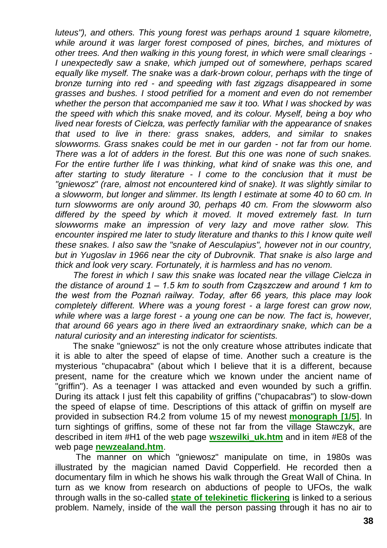*luteus"), and others. This young forest was perhaps around 1 square kilometre, while around it was larger forest composed of pines, birches, and mixtures of other trees. And then walking in this young forest, in which were small clearings - I unexpectedly saw a snake, which jumped out of somewhere, perhaps scared equally like myself. The snake was a dark-brown colour, perhaps with the tinge of bronze turning into red - and speeding with fast zigzags disappeared in some grasses and bushes. I stood petrified for a moment and even do not remember whether the person that accompanied me saw it too. What I was shocked by was the speed with which this snake moved, and its colour. Myself, being a boy who lived near forests of Cielcza, was perfectly familiar with the appearance of snakes that used to live in there: grass snakes, adders, and similar to snakes slowworms. Grass snakes could be met in our garden - not far from our home. There was a lot of adders in the forest. But this one was none of such snakes. For the entire further life I was thinking, what kind of snake was this one, and after starting to study literature - I come to the conclusion that it must be "gniewosz" (rare, almost not encountered kind of snake). It was slightly similar to a slowworm, but longer and slimmer. Its length I estimate at some 40 to 60 cm. In turn slowworms are only around 30, perhaps 40 cm. From the slowworm also differed by the speed by which it moved. It moved extremely fast. In turn slowworms make an impression of very lazy and move rather slow. This encounter inspired me later to study literature and thanks to this I know quite well these snakes. I also saw the "snake of Aesculapius", however not in our country, but in Yugoslav in 1966 near the city of Dubrovnik. That snake is also large and thick and look very scary. Fortunately, it is harmless and has no venom.*

*The forest in which I saw this snake was located near the village Cielcza in the distance of around 1 – 1.5 km to south from Cząszczew and around 1 km to the west from the Poznań railway. Today, after 66 years, this place may look completely different. Where was a young forest - a large forest can grow now, while where was a large forest - a young one can be now. The fact is, however, that around 66 years ago in there lived an extraordinary snake, which can be a natural curiosity and an interesting indicator for scientists.*

The snake "gniewosz" is not the only creature whose attributes indicate that it is able to alter the speed of elapse of time. Another such a creature is the mysterious "chupacabra" (about which I believe that it is a different, because present, name for the creature which we known under the ancient name of "griffin"). As a teenager I was attacked and even wounded by such a griffin. During its attack I just felt this capability of griffins ("chupacabras") to slow-down the speed of elapse of time. Descriptions of this attack of griffin on myself are provided in subsection R4.2 from volume 15 of my newest **[monograph \[1/5\]](http://totalizm.com.pl/text_1_5.htm)**. In turn sightings of griffins, some of these not far from the village Stawczyk, are described in item #H1 of the web page **[wszewilki\\_uk.htm](http://totalizm.com.pl/wszewilki_uk.htm)** and in item #E8 of the web page **[newzealand.htm](http://totalizm.com.pl/newzealand.htm)**.

The manner on which "gniewosz" manipulate on time, in 1980s was illustrated by the magician named David Copperfield. He recorded then a documentary film in which he shows his walk through the Great Wall of China. In turn as we know from research on abductions of people to UFOs, the walk through walls in the so-called **[state of telekinetic flickering](http://totalizm.com.pl/dipolar_gravity.htm)** is linked to a serious problem. Namely, inside of the wall the person passing through it has no air to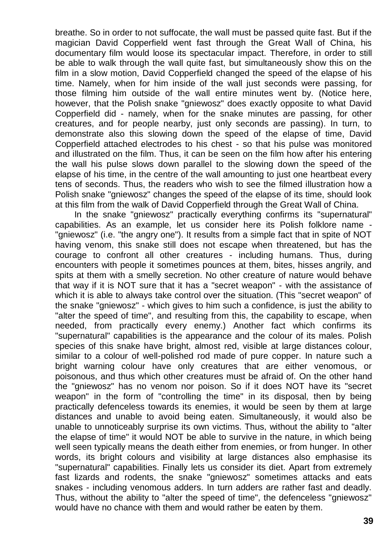breathe. So in order to not suffocate, the wall must be passed quite fast. But if the magician David Copperfield went fast through the Great Wall of China, his documentary film would loose its spectacular impact. Therefore, in order to still be able to walk through the wall quite fast, but simultaneously show this on the film in a slow motion, David Copperfield changed the speed of the elapse of his time. Namely, when for him inside of the wall just seconds were passing, for those filming him outside of the wall entire minutes went by. (Notice here, however, that the Polish snake "gniewosz" does exactly opposite to what David Copperfield did - namely, when for the snake minutes are passing, for other creatures, and for people nearby, just only seconds are passing). In turn, to demonstrate also this slowing down the speed of the elapse of time, David Copperfield attached electrodes to his chest - so that his pulse was monitored and illustrated on the film. Thus, it can be seen on the film how after his entering the wall his pulse slows down parallel to the slowing down the speed of the elapse of his time, in the centre of the wall amounting to just one heartbeat every tens of seconds. Thus, the readers who wish to see the filmed illustration how a Polish snake "gniewosz" changes the speed of the elapse of its time, should look at this film from the walk of David Copperfield through the Great Wall of China.

In the snake "gniewosz" practically everything confirms its "supernatural" capabilities. As an example, let us consider here its Polish folklore name - "gniewosz" (i.e. "the angry one"). It results from a simple fact that in spite of NOT having venom, this snake still does not escape when threatened, but has the courage to confront all other creatures - including humans. Thus, during encounters with people it sometimes pounces at them, bites, hisses angrily, and spits at them with a smelly secretion. No other creature of nature would behave that way if it is NOT sure that it has a "secret weapon" - with the assistance of which it is able to always take control over the situation. (This "secret weapon" of the snake "gniewosz" - which gives to him such a confidence, is just the ability to "alter the speed of time", and resulting from this, the capability to escape, when needed, from practically every enemy.) Another fact which confirms its "supernatural" capabilities is the appearance and the colour of its males. Polish species of this snake have bright, almost red, visible at large distances colour, similar to a colour of well-polished rod made of pure copper. In nature such a bright warning colour have only creatures that are either venomous, or poisonous, and thus which other creatures must be afraid of. On the other hand the "gniewosz" has no venom nor poison. So if it does NOT have its "secret weapon" in the form of "controlling the time" in its disposal, then by being practically defenceless towards its enemies, it would be seen by them at large distances and unable to avoid being eaten. Simultaneously, it would also be unable to unnoticeably surprise its own victims. Thus, without the ability to "alter the elapse of time" it would NOT be able to survive in the nature, in which being well seen typically means the death either from enemies, or from hunger. In other words, its bright colours and visibility at large distances also emphasise its "supernatural" capabilities. Finally lets us consider its diet. Apart from extremely fast lizards and rodents, the snake "gniewosz" sometimes attacks and eats snakes - including venomous adders. In turn adders are rather fast and deadly. Thus, without the ability to "alter the speed of time", the defenceless "gniewosz" would have no chance with them and would rather be eaten by them.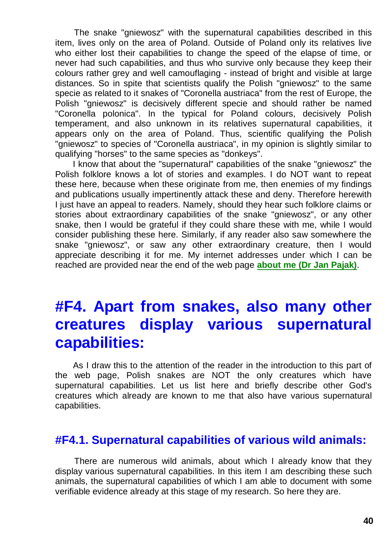The snake "gniewosz" with the supernatural capabilities described in this item, lives only on the area of Poland. Outside of Poland only its relatives live who either lost their capabilities to change the speed of the elapse of time, or never had such capabilities, and thus who survive only because they keep their colours rather grey and well camouflaging - instead of bright and visible at large distances. So in spite that scientists qualify the Polish "gniewosz" to the same specie as related to it snakes of "Coronella austriaca" from the rest of Europe, the Polish "gniewosz" is decisively different specie and should rather be named "Coronella polonica". In the typical for Poland colours, decisively Polish temperament, and also unknown in its relatives supernatural capabilities, it appears only on the area of Poland. Thus, scientific qualifying the Polish "gniewosz" to species of "Coronella austriaca", in my opinion is slightly similar to qualifying "horses" to the same species as "donkeys".

I know that about the "supernatural" capabilities of the snake "gniewosz" the Polish folklore knows a lot of stories and examples. I do NOT want to repeat these here, because when these originate from me, then enemies of my findings and publications usually impertinently attack these and deny. Therefore herewith I just have an appeal to readers. Namely, should they hear such folklore claims or stories about extraordinary capabilities of the snake "gniewosz", or any other snake, then I would be grateful if they could share these with me, while I would consider publishing these here. Similarly, if any reader also saw somewhere the snake "gniewosz", or saw any other extraordinary creature, then I would appreciate describing it for me. My internet addresses under which I can be reached are provided near the end of the web page **[about me \(Dr Jan Pajak\)](http://totalizm.com.pl/pajak_jan_uk.htm)**.

# **#F4. Apart from snakes, also many other creatures display various supernatural capabilities:**

As I draw this to the attention of the reader in the introduction to this part of the web page, Polish snakes are NOT the only creatures which have supernatural capabilities. Let us list here and briefly describe other God's creatures which already are known to me that also have various supernatural capabilities.

#### **#F4.1. Supernatural capabilities of various wild animals:**

There are numerous wild animals, about which I already know that they display various supernatural capabilities. In this item I am describing these such animals, the supernatural capabilities of which I am able to document with some verifiable evidence already at this stage of my research. So here they are.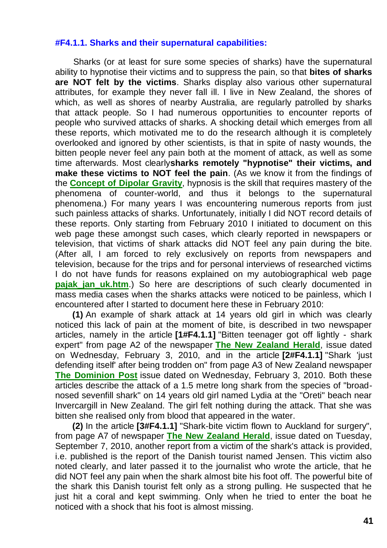#### **#F4.1.1. Sharks and their supernatural capabilities:**

Sharks (or at least for sure some species of sharks) have the supernatural ability to hypnotise their victims and to suppress the pain, so that **bites of sharks are NOT felt by the victims**. Sharks display also various other supernatural attributes, for example they never fall ill. I live in New Zealand, the shores of which, as well as shores of nearby Australia, are regularly patrolled by sharks that attack people. So I had numerous opportunities to encounter reports of people who survived attacks of sharks. A shocking detail which emerges from all these reports, which motivated me to do the research although it is completely overlooked and ignored by other scientists, is that in spite of nasty wounds, the bitten people never feel any pain both at the moment of attack, as well as some time afterwards. Most clearly**sharks remotely "hypnotise" their victims, and make these victims to NOT feel the pain**. (As we know it from the findings of the **[Concept of Dipolar Gravity](http://totalizm.com.pl/dipolar_gravity.htm)**, hypnosis is the skill that requires mastery of the phenomena of counter-world, and thus it belongs to the supernatural phenomena.) For many years I was encountering numerous reports from just such painless attacks of sharks. Unfortunately, initially I did NOT record details of these reports. Only starting from February 2010 I initiated to document on this web page these amongst such cases, which clearly reported in newspapers or television, that victims of shark attacks did NOT feel any pain during the bite. (After all, I am forced to rely exclusively on reports from newspapers and television, because for the trips and for personal interviews of researched victims I do not have funds for reasons explained on my autobiographical web page **pajak jan\_uk.htm**.) So here are descriptions of such clearly documented in mass media cases when the sharks attacks were noticed to be painless, which I encountered after I started to document here these in February 2010:

**(1)** An example of shark attack at 14 years old girl in which was clearly noticed this lack of pain at the moment of bite, is described in two newspaper articles, namely in the article **[1#F4.1.1]** "Bitten teenager got off lightly - shark expert" from page A2 of the newspaper **[The New Zealand Herald](http://www.nzherald.co.nz/)**, issue dated on Wednesday, February 3, 2010, and in the article **[2#F4.1.1]** "Shark 'just defending itself' after being trodden on" from page A3 of New Zealand newspaper **[The Dominion Post](http://www.dompost.co.nz/)** issue dated on Wednesday, February 3, 2010. Both these articles describe the attack of a 1.5 metre long shark from the species of "broadnosed sevenfill shark" on 14 years old girl named Lydia at the "Oreti" beach near Invercargill in New Zealand. The girl felt nothing during the attack. That she was bitten she realised only from blood that appeared in the water.

**(2)** In the article **[3#F4.1.1]** "Shark-bite victim flown to Auckland for surgery", from page A7 of newspaper **[The New Zealand Herald](http://www.nzherald.co.nz/)**, issue dated on Tuesday, September 7, 2010, another report from a victim of the shark's attack is provided, i.e. published is the report of the Danish tourist named Jensen. This victim also noted clearly, and later passed it to the journalist who wrote the article, that he did NOT feel any pain when the shark almost bite his foot off. The powerful bite of the shark this Danish tourist felt only as a strong pulling. He suspected that he just hit a coral and kept swimming. Only when he tried to enter the boat he noticed with a shock that his foot is almost missing.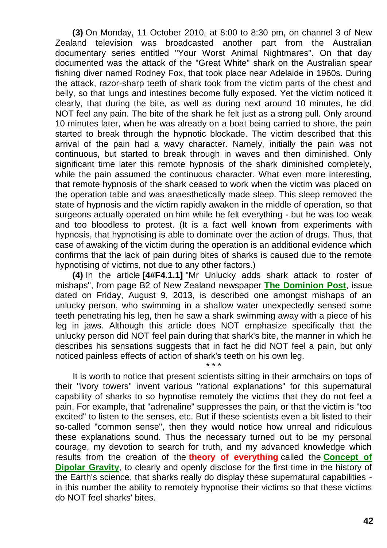**(3)** On Monday, 11 October 2010, at 8:00 to 8:30 pm, on channel 3 of New Zealand television was broadcasted another part from the Australian documentary series entitled "Your Worst Animal Nightmares". On that day documented was the attack of the "Great White" shark on the Australian spear fishing diver named Rodney Fox, that took place near Adelaide in 1960s. During the attack, razor-sharp teeth of shark took from the victim parts of the chest and belly, so that lungs and intestines become fully exposed. Yet the victim noticed it clearly, that during the bite, as well as during next around 10 minutes, he did NOT feel any pain. The bite of the shark he felt just as a strong pull. Only around 10 minutes later, when he was already on a boat being carried to shore, the pain started to break through the hypnotic blockade. The victim described that this arrival of the pain had a wavy character. Namely, initially the pain was not continuous, but started to break through in waves and then diminished. Only significant time later this remote hypnosis of the shark diminished completely, while the pain assumed the continuous character. What even more interesting, that remote hypnosis of the shark ceased to work when the victim was placed on the operation table and was anaesthetically made sleep. This sleep removed the state of hypnosis and the victim rapidly awaken in the middle of operation, so that surgeons actually operated on him while he felt everything - but he was too weak and too bloodless to protest. (It is a fact well known from experiments with hypnosis, that hypnotising is able to dominate over the action of drugs. Thus, that case of awaking of the victim during the operation is an additional evidence which confirms that the lack of pain during bites of sharks is caused due to the remote hypnotising of victims, not due to any other factors.)

**(4)** In the article **[4#F4.1.1]** "Mr Unlucky adds shark attack to roster of mishaps", from page B2 of New Zealand newspaper **[The Dominion Post](http://www.dompost.co.nz/)**, issue dated on Friday, August 9, 2013, is described one amongst mishaps of an unlucky person, who swimming in a shallow water unexpectedly sensed some teeth penetrating his leg, then he saw a shark swimming away with a piece of his leg in jaws. Although this article does NOT emphasize specifically that the unlucky person did NOT feel pain during that shark's bite, the manner in which he describes his sensations suggests that in fact he did NOT feel a pain, but only noticed painless effects of action of shark's teeth on his own leg.

\* \* \*

It is worth to notice that present scientists sitting in their armchairs on tops of their "ivory towers" invent various "rational explanations" for this supernatural capability of sharks to so hypnotise remotely the victims that they do not feel a pain. For example, that "adrenaline" suppresses the pain, or that the victim is "too excited" to listen to the senses, etc. But if these scientists even a bit listed to their so-called "common sense", then they would notice how unreal and ridiculous these explanations sound. Thus the necessary turned out to be my personal courage, my devotion to search for truth, and my advanced knowledge which results from the creation of the **theory of everything** called the **[Concept of](http://totalizm.com.pl/dipolar_gravity.htm)  [Dipolar Gravity](http://totalizm.com.pl/dipolar_gravity.htm)**, to clearly and openly disclose for the first time in the history of the Earth's science, that sharks really do display these supernatural capabilities in this number the ability to remotely hypnotise their victims so that these victims do NOT feel sharks' bites.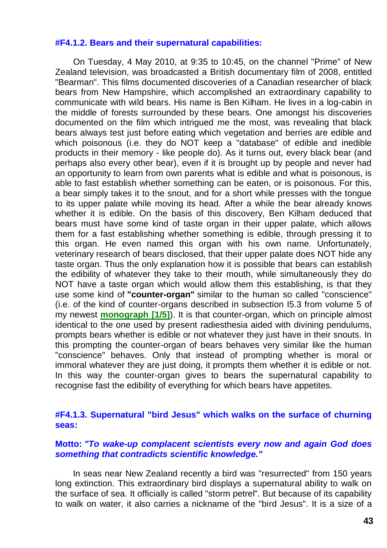#### **#F4.1.2. Bears and their supernatural capabilities:**

On Tuesday, 4 May 2010, at 9:35 to 10:45, on the channel "Prime" of New Zealand television, was broadcasted a British documentary film of 2008, entitled "Bearman". This films documented discoveries of a Canadian researcher of black bears from New Hampshire, which accomplished an extraordinary capability to communicate with wild bears. His name is Ben Kilham. He lives in a log-cabin in the middle of forests surrounded by these bears. One amongst his discoveries documented on the film which intrigued me the most, was revealing that black bears always test just before eating which vegetation and berries are edible and which poisonous (i.e. they do NOT keep a "database" of edible and inedible products in their memory - like people do). As it turns out, every black bear (and perhaps also every other bear), even if it is brought up by people and never had an opportunity to learn from own parents what is edible and what is poisonous, is able to fast establish whether something can be eaten, or is poisonous. For this, a bear simply takes it to the snout, and for a short while presses with the tongue to its upper palate while moving its head. After a while the bear already knows whether it is edible. On the basis of this discovery, Ben Kilham deduced that bears must have some kind of taste organ in their upper palate, which allows them for a fast establishing whether something is edible, through pressing it to this organ. He even named this organ with his own name. Unfortunately, veterinary research of bears disclosed, that their upper palate does NOT hide any taste organ. Thus the only explanation how it is possible that bears can establish the edibility of whatever they take to their mouth, while simultaneously they do NOT have a taste organ which would allow them this establishing, is that they use some kind of **"counter-organ"** similar to the human so called "conscience" (i.e. of the kind of counter-organs described in subsection I5.3 from volume 5 of my newest **[monograph \[1/5\]](http://totalizm.com.pl/text_1_5.htm)**). It is that counter-organ, which on principle almost identical to the one used by present radiesthesia aided with divining pendulums, prompts bears whether is edible or not whatever they just have in their snouts. In this prompting the counter-organ of bears behaves very similar like the human "conscience" behaves. Only that instead of prompting whether is moral or immoral whatever they are just doing, it prompts them whether it is edible or not. In this way the counter-organ gives to bears the supernatural capability to recognise fast the edibility of everything for which bears have appetites.

#### **#F4.1.3. Supernatural "bird Jesus" which walks on the surface of churning seas:**

#### **Motto:** *"To wake-up complacent scientists every now and again God does something that contradicts scientific knowledge."*

In seas near New Zealand recently a bird was "resurrected" from 150 years long extinction. This extraordinary bird displays a supernatural ability to walk on the surface of sea. It officially is called "storm petrel". But because of its capability to walk on water, it also carries a nickname of the "bird Jesus". It is a size of a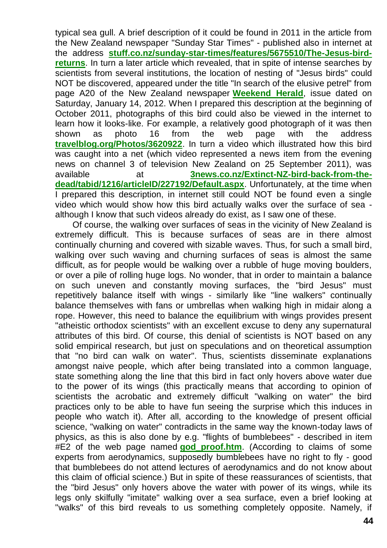typical sea gull. A brief description of it could be found in 2011 in the article from the New Zealand newspaper "Sunday Star Times" - published also in internet at the address **[stuff.co.nz/sunday-star-times/features/5675510/The-Jesus-bird](http://www.stuff.co.nz/sunday-star-times/features/5675510/The-Jesus-bird-returns)[returns](http://www.stuff.co.nz/sunday-star-times/features/5675510/The-Jesus-bird-returns)**. In turn a later article which revealed, that in spite of intense searches by scientists from several institutions, the location of nesting of "Jesus birds" could NOT be discovered, appeared under the title "In search of the elusive petrel" from page A20 of the New Zealand newspaper **[Weekend Herald](http://www.nzherald.co.nz/)**, issue dated on Saturday, January 14, 2012. When I prepared this description at the beginning of October 2011, photographs of this bird could also be viewed in the internet to learn how it looks-like. For example, a relatively good photograph of it was then shown as photo 16 from the web page with the address **[travelblog.org/Photos/3620922](http://www.travelblog.org/Photos/3620922)**. In turn a video which illustrated how this bird was caught into a net (which video represented a news item from the evening news on channel 3 of television New Zealand on 25 September 2011), was available at **[3news.co.nz/Extinct-NZ-bird-back-from-the](http://www.3news.co.nz/Extinct-NZ-bird-back-from-the-dead/tabid/1216/articleID/227192/Default.aspx)[dead/tabid/1216/articleID/227192/Default.aspx](http://www.3news.co.nz/Extinct-NZ-bird-back-from-the-dead/tabid/1216/articleID/227192/Default.aspx)**. Unfortunately, at the time when I prepared this description, in internet still could NOT be found even a single video which would show how this bird actually walks over the surface of sea although I know that such videos already do exist, as I saw one of these.

Of course, the walking over surfaces of seas in the vicinity of New Zealand is extremely difficult. This is because surfaces of seas are in there almost continually churning and covered with sizable waves. Thus, for such a small bird, walking over such waving and churning surfaces of seas is almost the same difficult, as for people would be walking over a rubble of huge moving boulders, or over a pile of rolling huge logs. No wonder, that in order to maintain a balance on such uneven and constantly moving surfaces, the "bird Jesus" must repetitively balance itself with wings - similarly like "line walkers" continually balance themselves with fans or umbrellas when walking high in midair along a rope. However, this need to balance the equilibrium with wings provides present "atheistic orthodox scientists" with an excellent excuse to deny any supernatural attributes of this bird. Of course, this denial of scientists is NOT based on any solid empirical research, but just on speculations and on theoretical assumption that "no bird can walk on water". Thus, scientists disseminate explanations amongst naive people, which after being translated into a common language, state something along the line that this bird in fact only hovers above water due to the power of its wings (this practically means that according to opinion of scientists the acrobatic and extremely difficult "walking on water" the bird practices only to be able to have fun seeing the surprise which this induces in people who watch it). After all, according to the knowledge of present official science, "walking on water" contradicts in the same way the known-today laws of physics, as this is also done by e.g. "flights of bumblebees" - described in item #E2 of the web page named **[god\\_proof.htm](http://totalizm.com.pl/god_proof.htm)**. (According to claims of some experts from aerodynamics, supposedly bumblebees have no right to fly - good that bumblebees do not attend lectures of aerodynamics and do not know about this claim of official science.) But in spite of these reassurances of scientists, that the "bird Jesus" only hovers above the water with power of its wings, while its legs only skilfully "imitate" walking over a sea surface, even a brief looking at "walks" of this bird reveals to us something completely opposite. Namely, if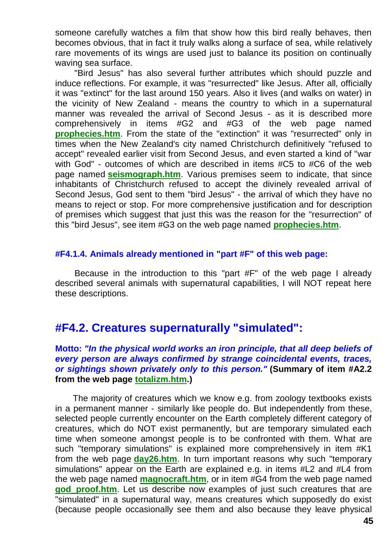someone carefully watches a film that show how this bird really behaves, then becomes obvious, that in fact it truly walks along a surface of sea, while relatively rare movements of its wings are used just to balance its position on continually waving sea surface.

"Bird Jesus" has also several further attributes which should puzzle and induce reflections. For example, it was "resurrected" like Jesus. After all, officially it was "extinct" for the last around 150 years. Also it lives (and walks on water) in the vicinity of New Zealand - means the country to which in a supernatural manner was revealed the arrival of Second Jesus - as it is described more comprehensively in items #G2 and #G3 of the web page named **[prophecies.htm](http://totalizm.com.pl/prophecies.htm)**. From the state of the "extinction" it was "resurrected" only in times when the New Zealand's city named Christchurch definitively "refused to accept" revealed earlier visit from Second Jesus, and even started a kind of "war with God" - outcomes of which are described in items #C5 to #C6 of the web page named **[seismograph.htm](http://totalizm.com.pl/seismograph.htm)**. Various premises seem to indicate, that since inhabitants of Christchurch refused to accept the divinely revealed arrival of Second Jesus, God sent to them "bird Jesus" - the arrival of which they have no means to reject or stop. For more comprehensive justification and for description of premises which suggest that just this was the reason for the "resurrection" of this "bird Jesus", see item #G3 on the web page named **[prophecies.htm](http://totalizm.com.pl/prophecies.htm)**.

#### **#F4.1.4. Animals already mentioned in "part #F" of this web page:**

Because in the introduction to this "part #F" of the web page I already described several animals with supernatural capabilities, I will NOT repeat here these descriptions.

#### **#F4.2. Creatures supernaturally "simulated":**

#### **Motto:** *"In the physical world works an iron principle, that all deep beliefs of every person are always confirmed by strange coincidental events, traces, or sightings shown privately only to this person."* **(Summary of item #A2.2 from the web page [totalizm.htm.](http://totalizm.com.pl/totalizm.htm))**

The majority of creatures which we know e.g. from zoology textbooks exists in a permanent manner - similarly like people do. But independently from these, selected people currently encounter on the Earth completely different category of creatures, which do NOT exist permanently, but are temporary simulated each time when someone amongst people is to be confronted with them. What are such "temporary simulations" is explained more comprehensively in item #K1 from the web page **[day26.htm](http://totalizm.com.pl/day26.htm)**. In turn important reasons why such "temporary simulations" appear on the Earth are explained e.g. in items #L2 and #L4 from the web page named **[magnocraft.htm](http://totalizm.com.pl/magnocraft.htm)**, or in item #G4 from the web page named **god proof.htm**. Let us describe now examples of just such creatures that are "simulated" in a supernatural way, means creatures which supposedly do exist (because people occasionally see them and also because they leave physical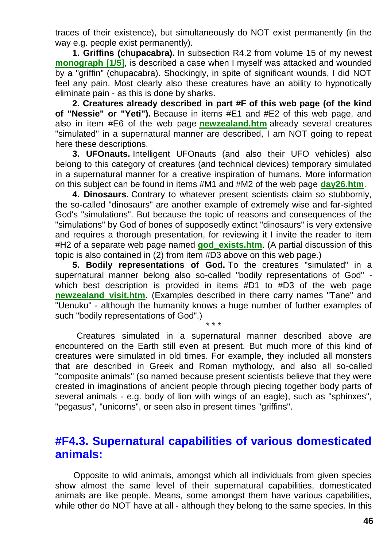traces of their existence), but simultaneously do NOT exist permanently (in the way e.g. people exist permanently).

**1. Griffins (chupacabra).** In subsection R4.2 from volume 15 of my newest **[monograph \[1/5\]](http://totalizm.com.pl/text_1_5.htm)**, is described a case when I myself was attacked and wounded by a "griffin" (chupacabra). Shockingly, in spite of significant wounds, I did NOT feel any pain. Most clearly also these creatures have an ability to hypnotically eliminate pain - as this is done by sharks.

**2. Creatures already described in part #F of this web page (of the kind of "Nessie" or "Yeti").** Because in items #E1 and #E2 of this web page, and also in item #E6 of the web page **[newzealand.htm](http://totalizm.com.pl/newzealand.htm)** already several creatures "simulated" in a supernatural manner are described, I am NOT going to repeat here these descriptions.

**3. UFOnauts.** Intelligent UFOnauts (and also their UFO vehicles) also belong to this category of creatures (and technical devices) temporary simulated in a supernatural manner for a creative inspiration of humans. More information on this subject can be found in items #M1 and #M2 of the web page **[day26.htm](http://totalizm.com.pl/day26.htm)**.

**4. Dinosaurs.** Contrary to whatever present scientists claim so stubbornly, the so-called "dinosaurs" are another example of extremely wise and far-sighted God's "simulations". But because the topic of reasons and consequences of the "simulations" by God of bones of supposedly extinct "dinosaurs" is very extensive and requires a thorough presentation, for reviewing it I invite the reader to item #H2 of a separate web page named **[god\\_exists.htm](http://totalizm.com.pl/god_exists.htm)**. (A partial discussion of this topic is also contained in (2) from item #D3 above on this web page.)

**5. Bodily representations of God.** To the creatures "simulated" in a supernatural manner belong also so-called "bodily representations of God" which best description is provided in items #D1 to #D3 of the web page **newzealand visit.htm.** (Examples described in there carry names "Tane" and "Uenuku" - although the humanity knows a huge number of further examples of such "bodily representations of God".)

\* \* \*

Creatures simulated in a supernatural manner described above are encountered on the Earth still even at present. But much more of this kind of creatures were simulated in old times. For example, they included all monsters that are described in Greek and Roman mythology, and also all so-called "composite animals" (so named because present scientists believe that they were created in imaginations of ancient people through piecing together body parts of several animals - e.g. body of lion with wings of an eagle), such as "sphinxes", "pegasus", "unicorns", or seen also in present times "griffins".

#### **#F4.3. Supernatural capabilities of various domesticated animals:**

Opposite to wild animals, amongst which all individuals from given species show almost the same level of their supernatural capabilities, domesticated animals are like people. Means, some amongst them have various capabilities, while other do NOT have at all - although they belong to the same species. In this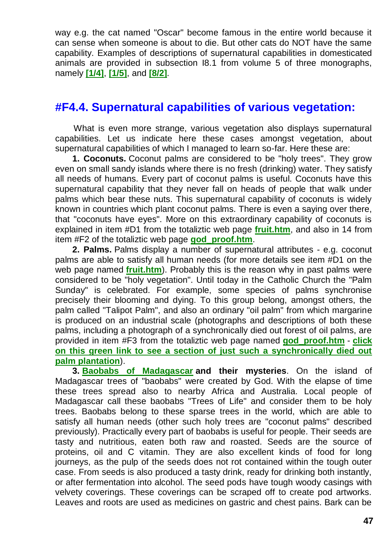way e.g. the cat named "Oscar" become famous in the entire world because it can sense when someone is about to die. But other cats do NOT have the same capability. Examples of descriptions of supernatural capabilities in domesticated animals are provided in subsection I8.1 from volume 5 of three monographs, namely **[\[1/4\]](http://totalizm.com.pl/text_1_4.htm)**, **[\[1/5\]](http://totalizm.com.pl/text_1_5.htm)**, and **[\[8/2\]](http://totalizm.com.pl/text_8_2.htm)**.

#### **#F4.4. Supernatural capabilities of various vegetation:**

What is even more strange, various vegetation also displays supernatural capabilities. Let us indicate here these cases amongst vegetation, about supernatural capabilities of which I managed to learn so-far. Here these are:

**1. Coconuts.** Coconut palms are considered to be "holy trees". They grow even on small sandy islands where there is no fresh (drinking) water. They satisfy all needs of humans. Every part of coconut palms is useful. Coconuts have this supernatural capability that they never fall on heads of people that walk under palms which bear these nuts. This supernatural capability of coconuts is widely known in countries which plant coconut palms. There is even a saying over there, that "coconuts have eyes". More on this extraordinary capability of coconuts is explained in item #D1 from the totaliztic web page **[fruit.htm](http://totalizm.com.pl/fruit.htm)**, and also in 14 from item #F2 of the totaliztic web page **[god\\_proof.htm](http://totalizm.com.pl/god_proof.htm)**.

**2. Palms.** Palms display a number of supernatural attributes - e.g. coconut palms are able to satisfy all human needs (for more details see item #D1 on the web page named **[fruit.htm](http://totalizm.com.pl/fruit.htm)**). Probably this is the reason why in past palms were considered to be "holy vegetation". Until today in the Catholic Church the "Palm Sunday" is celebrated. For example, some species of palms synchronise precisely their blooming and dying. To this group belong, amongst others, the palm called "Talipot Palm", and also an ordinary "oil palm" from which margarine is produced on an industrial scale (photographs and descriptions of both these palms, including a photograph of a synchronically died out forest of oil palms, are provided in item #F3 from the totaliztic web page named **[god\\_proof.htm](http://totalizm.com.pl/god_proof.htm)** - **[click](http://totalizm.com.pl/proofs/dead_oil_palm_forest.jpg)  [on this green link to see a section of just such a synchronically died out](http://totalizm.com.pl/proofs/dead_oil_palm_forest.jpg)  [palm plantation](http://totalizm.com.pl/proofs/dead_oil_palm_forest.jpg)**).

**3. [Baobabs of Madagascar](http://www.google.com/images?hl=en&source=imghp&q=Baobab+Trees+In+Madagascar&btnG=Search+Images&gbv=2&aq=f&aqi=&aql=&oq=&gs_rfai=) and their mysteries**. On the island of Madagascar trees of "baobabs" were created by God. With the elapse of time these trees spread also to nearby Africa and Australia. Local people of Madagascar call these baobabs "Trees of Life" and consider them to be holy trees. Baobabs belong to these sparse trees in the world, which are able to satisfy all human needs (other such holy trees are "coconut palms" described previously). Practically every part of baobabs is useful for people. Their seeds are tasty and nutritious, eaten both raw and roasted. Seeds are the source of proteins, oil and C vitamin. They are also excellent kinds of food for long journeys, as the pulp of the seeds does not rot contained within the tough outer case. From seeds is also produced a tasty drink, ready for drinking both instantly, or after fermentation into alcohol. The seed pods have tough woody casings with velvety coverings. These coverings can be scraped off to create pod artworks. Leaves and roots are used as medicines on gastric and chest pains. Bark can be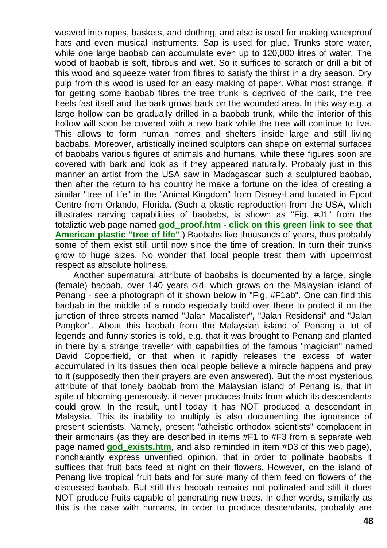weaved into ropes, baskets, and clothing, and also is used for making waterproof hats and even musical instruments. Sap is used for glue. Trunks store water, while one large baobab can accumulate even up to 120,000 litres of water. The wood of baobab is soft, fibrous and wet. So it suffices to scratch or drill a bit of this wood and squeeze water from fibres to satisfy the thirst in a dry season. Dry pulp from this wood is used for an easy making of paper. What most strange, if for getting some baobab fibres the tree trunk is deprived of the bark, the tree heels fast itself and the bark grows back on the wounded area. In this way e.g. a large hollow can be gradually drilled in a baobab trunk, while the interior of this hollow will soon be covered with a new bark while the tree will continue to live. This allows to form human homes and shelters inside large and still living baobabs. Moreover, artistically inclined sculptors can shape on external surfaces of baobabs various figures of animals and humans, while these figures soon are covered with bark and look as if they appeared naturally. Probably just in this manner an artist from the USA saw in Madagascar such a sculptured baobab, then after the return to his country he make a fortune on the idea of creating a similar "tree of life" in the "Animal Kingdom" from Disney-Land located in Epcot Centre from Orlando, Florida. (Such a plastic reproduction from the USA, which illustrates carving capabilities of baobabs, is shown as "Fig. #J1" from the totaliztic web page named **[god\\_proof.htm](http://totalizm.com.pl/god_proof.htm)** - **[click on this green link to see that](http://totalizm.com.pl/proofs/gods_tree_nalgonda_india.jpg)  [American plastic "tree of life"](http://totalizm.com.pl/proofs/gods_tree_nalgonda_india.jpg)**.) Baobabs live thousands of years, thus probably some of them exist still until now since the time of creation. In turn their trunks grow to huge sizes. No wonder that local people treat them with uppermost respect as absolute holiness.

Another supernatural attribute of baobabs is documented by a large, single (female) baobab, over 140 years old, which grows on the Malaysian island of Penang - see a photograph of it shown below in "Fig. #F1ab". One can find this baobab in the middle of a rondo especially build over there to protect it on the junction of three streets named "Jalan Macalister", "Jalan Residensi" and "Jalan Pangkor". About this baobab from the Malaysian island of Penang a lot of legends and funny stories is told, e.g. that it was brought to Penang and planted in there by a strange traveller with capabilities of the famous "magician" named David Copperfield, or that when it rapidly releases the excess of water accumulated in its tissues then local people believe a miracle happens and pray to it (supposedly then their prayers are even answered). But the most mysterious attribute of that lonely baobab from the Malaysian island of Penang is, that in spite of blooming generously, it never produces fruits from which its descendants could grow. In the result, until today it has NOT produced a descendant in Malaysia. This its inability to multiply is also documenting the ignorance of present scientists. Namely, present "atheistic orthodox scientists" complacent in their armchairs (as they are described in items #F1 to #F3 from a separate web page named **[god\\_exists.htm](http://totalizm.com.pl/god_exists.htm)**, and also reminded in item #D3 of this web page), nonchalantly express unverified opinion, that in order to pollinate baobabs it suffices that fruit bats feed at night on their flowers. However, on the island of Penang live tropical fruit bats and for sure many of them feed on flowers of the discussed baobab. But still this baobab remains not pollinated and still it does NOT produce fruits capable of generating new trees. In other words, similarly as this is the case with humans, in order to produce descendants, probably are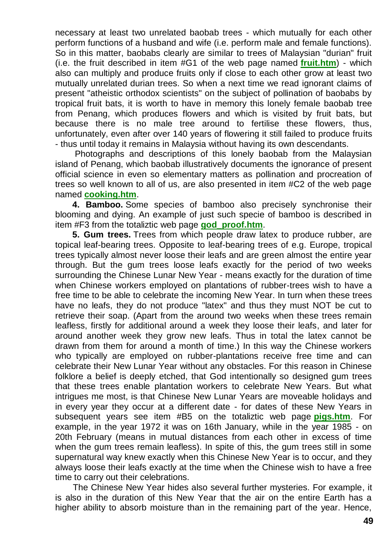necessary at least two unrelated baobab trees - which mutually for each other perform functions of a husband and wife (i.e. perform male and female functions). So in this matter, baobabs clearly are similar to trees of Malaysian "durian" fruit (i.e. the fruit described in item #G1 of the web page named **[fruit.htm](http://totalizm.com.pl/fruit.htm)**) - which also can multiply and produce fruits only if close to each other grow at least two mutually unrelated durian trees. So when a next time we read ignorant claims of present "atheistic orthodox scientists" on the subject of pollination of baobabs by tropical fruit bats, it is worth to have in memory this lonely female baobab tree from Penang, which produces flowers and which is visited by fruit bats, but because there is no male tree around to fertilise these flowers, thus, unfortunately, even after over 140 years of flowering it still failed to produce fruits - thus until today it remains in Malaysia without having its own descendants.

Photographs and descriptions of this lonely baobab from the Malaysian island of Penang, which baobab illustratively documents the ignorance of present official science in even so elementary matters as pollination and procreation of trees so well known to all of us, are also presented in item #C2 of the web page named **[cooking.htm](http://totalizm.com.pl/cooking.htm)**.

**4. Bamboo.** Some species of bamboo also precisely synchronise their blooming and dying. An example of just such specie of bamboo is described in item #F3 from the totaliztic web page **[god\\_proof.htm](http://totalizm.com.pl/god_proof.htm)**.

**5. Gum trees.** Trees from which people draw latex to produce rubber, are topical leaf-bearing trees. Opposite to leaf-bearing trees of e.g. Europe, tropical trees typically almost never loose their leafs and are green almost the entire year through. But the gum trees loose leafs exactly for the period of two weeks surrounding the Chinese Lunar New Year - means exactly for the duration of time when Chinese workers employed on plantations of rubber-trees wish to have a free time to be able to celebrate the incoming New Year. In turn when these trees have no leafs, they do not produce "latex" and thus they must NOT be cut to retrieve their soap. (Apart from the around two weeks when these trees remain leafless, firstly for additional around a week they loose their leafs, and later for around another week they grow new leafs. Thus in total the latex cannot be drawn from them for around a month of time.) In this way the Chinese workers who typically are employed on rubber-plantations receive free time and can celebrate their New Lunar Year without any obstacles. For this reason in Chinese folklore a belief is deeply etched, that God intentionally so designed gum trees that these trees enable plantation workers to celebrate New Years. But what intrigues me most, is that Chinese New Lunar Years are moveable holidays and in every year they occur at a different date - for dates of these New Years in subsequent years see item #B5 on the totaliztic web page **[pigs.htm](http://totalizm.com.pl/pigs.htm)**. For example, in the year 1972 it was on 16th January, while in the year 1985 - on 20th February (means in mutual distances from each other in excess of time when the gum trees remain leafless). In spite of this, the gum trees still in some supernatural way knew exactly when this Chinese New Year is to occur, and they always loose their leafs exactly at the time when the Chinese wish to have a free time to carry out their celebrations.

The Chinese New Year hides also several further mysteries. For example, it is also in the duration of this New Year that the air on the entire Earth has a higher ability to absorb moisture than in the remaining part of the year. Hence,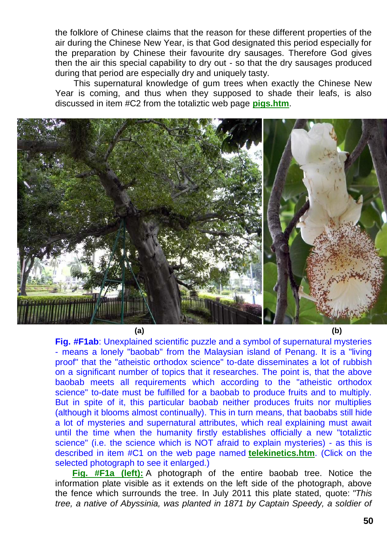the folklore of Chinese claims that the reason for these different properties of the air during the Chinese New Year, is that God designated this period especially for the preparation by Chinese their favourite dry sausages. Therefore God gives then the air this special capability to dry out - so that the dry sausages produced during that period are especially dry and uniquely tasty.

This supernatural knowledge of gum trees when exactly the Chinese New Year is coming, and thus when they supposed to shade their leafs, is also discussed in item #C2 from the totaliztic web page **[pigs.htm](http://totalizm.com.pl/pigs.htm)**.



**(a) (b)**

**Fig. #F1ab**: Unexplained scientific puzzle and a symbol of supernatural mysteries - means a lonely "baobab" from the Malaysian island of Penang. It is a "living proof" that the "atheistic orthodox science" to-date disseminates a lot of rubbish on a significant number of topics that it researches. The point is, that the above baobab meets all requirements which according to the "atheistic orthodox science" to-date must be fulfilled for a baobab to produce fruits and to multiply. But in spite of it, this particular baobab neither produces fruits nor multiplies (although it blooms almost continually). This in turn means, that baobabs still hide a lot of mysteries and supernatural attributes, which real explaining must await until the time when the humanity firstly establishes officially a new "totaliztic science" (i.e. the science which is NOT afraid to explain mysteries) - as this is described in item #C1 on the web page named **[telekinetics.htm](http://totalizm.com.pl/telekinetics.htm)**. (Click on the selected photograph to see it enlarged.)

**[Fig. #F1a \(left\):](http://totalizm.com.pl/proofs/baobab_in_penang.jpg)** A photograph of the entire baobab tree. Notice the information plate visible as it extends on the left side of the photograph, above the fence which surrounds the tree. In July 2011 this plate stated, quote: *"This tree, a native of Abyssinia, was planted in 1871 by Captain Speedy, a soldier of*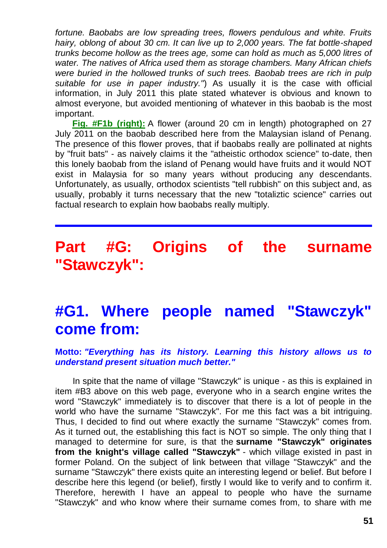*fortune. Baobabs are low spreading trees, flowers pendulous and white. Fruits hairy, oblong of about 30 cm. It can live up to 2,000 years. The fat bottle-shaped trunks become hollow as the trees age, some can hold as much as 5,000 litres of water. The natives of Africa used them as storage chambers. Many African chiefs were buried in the hollowed trunks of such trees. Baobab trees are rich in pulp suitable for use in paper industry."*) As usually it is the case with official information, in July 2011 this plate stated whatever is obvious and known to almost everyone, but avoided mentioning of whatever in this baobab is the most important.

**[Fig. #F1b \(right\):](http://totalizm.com.pl/proofs/baobab_flower.jpg)** A flower (around 20 cm in length) photographed on 27 July 2011 on the baobab described here from the Malaysian island of Penang. The presence of this flower proves, that if baobabs really are pollinated at nights by "fruit bats" - as naively claims it the "atheistic orthodox science" to-date, then this lonely baobab from the island of Penang would have fruits and it would NOT exist in Malaysia for so many years without producing any descendants. Unfortunately, as usually, orthodox scientists "tell rubbish" on this subject and, as usually, probably it turns necessary that the new "totaliztic science" carries out factual research to explain how baobabs really multiply.

# **Part #G: Origins of the surname "Stawczyk":**

# **#G1. Where people named "Stawczyk" come from:**

#### **Motto:** *"Everything has its history. Learning this history allows us to understand present situation much better."*

In spite that the name of village "Stawczyk" is unique - as this is explained in item #B3 above on this web page, everyone who in a search engine writes the word "Stawczyk" immediately is to discover that there is a lot of people in the world who have the surname "Stawczyk". For me this fact was a bit intriguing. Thus, I decided to find out where exactly the surname "Stawczyk" comes from. As it turned out, the establishing this fact is NOT so simple. The only thing that I managed to determine for sure, is that the **surname "Stawczyk" originates from the knight's village called "Stawczyk"** - which village existed in past in former Poland. On the subject of link between that village "Stawczyk" and the surname "Stawczyk" there exists quite an interesting legend or belief. But before I describe here this legend (or belief), firstly I would like to verify and to confirm it. Therefore, herewith I have an appeal to people who have the surname "Stawczyk" and who know where their surname comes from, to share with me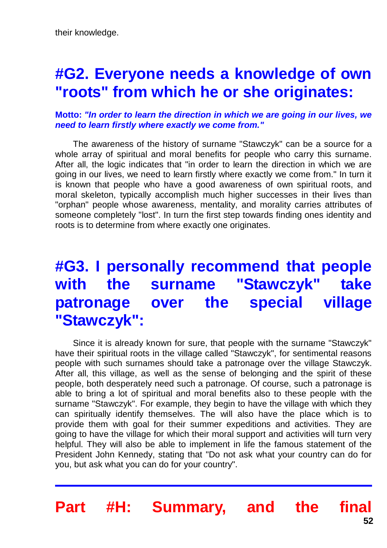# **#G2. Everyone needs a knowledge of own "roots" from which he or she originates:**

#### **Motto:** *"In order to learn the direction in which we are going in our lives, we need to learn firstly where exactly we come from."*

The awareness of the history of surname "Stawczyk" can be a source for a whole array of spiritual and moral benefits for people who carry this surname. After all, the logic indicates that "in order to learn the direction in which we are going in our lives, we need to learn firstly where exactly we come from." In turn it is known that people who have a good awareness of own spiritual roots, and moral skeleton, typically accomplish much higher successes in their lives than "orphan" people whose awareness, mentality, and morality carries attributes of someone completely "lost". In turn the first step towards finding ones identity and roots is to determine from where exactly one originates.

# **#G3. I personally recommend that people with the surname "Stawczyk" take patronage over the special village "Stawczyk":**

Since it is already known for sure, that people with the surname "Stawczyk" have their spiritual roots in the village called "Stawczyk", for sentimental reasons people with such surnames should take a patronage over the village Stawczyk. After all, this village, as well as the sense of belonging and the spirit of these people, both desperately need such a patronage. Of course, such a patronage is able to bring a lot of spiritual and moral benefits also to these people with the surname "Stawczyk". For example, they begin to have the village with which they can spiritually identify themselves. The will also have the place which is to provide them with goal for their summer expeditions and activities. They are going to have the village for which their moral support and activities will turn very helpful. They will also be able to implement in life the famous statement of the President John Kennedy, stating that "Do not ask what your country can do for you, but ask what you can do for your country".

**Part #H: Summary, and the final**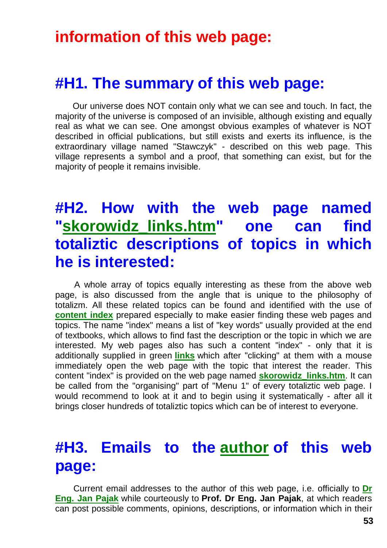#### **information of this web page:**

#### **#H1. The summary of this web page:**

Our universe does NOT contain only what we can see and touch. In fact, the majority of the universe is composed of an invisible, although existing and equally real as what we can see. One amongst obvious examples of whatever is NOT described in official publications, but still exists and exerts its influence, is the extraordinary village named "Stawczyk" - described on this web page. This village represents a symbol and a proof, that something can exist, but for the majority of people it remains invisible.

## **#H2. How with the web page named ["skorowidz\\_links.htm"](http://totalizm.com.pl/skorowidz_links.htm) one can find totaliztic descriptions of topics in which he is interested:**

A whole array of topics equally interesting as these from the above web page, is also discussed from the angle that is unique to the philosophy of totalizm. All these related topics can be found and identified with the use of **[content index](http://totalizm.com.pl/skorowidz_links.htm)** prepared especially to make easier finding these web pages and topics. The name "index" means a list of "key words" usually provided at the end of textbooks, which allows to find fast the description or the topic in which we are interested. My web pages also has such a content "index" - only that it is additionally supplied in green **[links](http://totalizm.com.pl/wszewilki_jutra_uk.htm)** which after "clicking" at them with a mouse immediately open the web page with the topic that interest the reader. This content "index" is provided on the web page named **[skorowidz\\_links.htm](http://totalizm.com.pl/skorowidz_links.htm)**. It can be called from the "organising" part of "Menu 1" of every totaliztic web page. I would recommend to look at it and to begin using it systematically - after all it brings closer hundreds of totaliztic topics which can be of interest to everyone.

## **#H3. Emails to the [author](http://totalizm.com.pl/pajak_jan_uk.htm) of this web page:**

Current email addresses to the author of this web page, i.e. officially to **[Dr](http://images.google.co.nz/images?hl=en&q=Jan+Pajak&btnG=Search+Images&gbv=1)  [Eng. Jan Pajak](http://images.google.co.nz/images?hl=en&q=Jan+Pajak&btnG=Search+Images&gbv=1)** while courteously to **Prof. Dr Eng. Jan Pajak**, at which readers can post possible comments, opinions, descriptions, or information which in their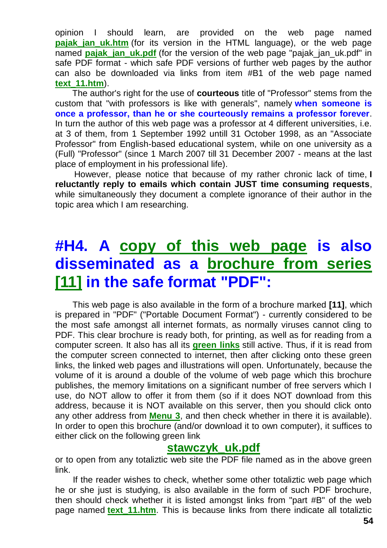opinion I should learn, are provided on the web page named **pajak jan\_uk.htm** (for its version in the HTML language), or the web page named **pajak jan uk.pdf** (for the version of the web page "pajak jan uk.pdf" in safe PDF format - which safe PDF versions of further web pages by the author can also be downloaded via links from item #B1 of the web page named **[text\\_11.htm](http://totalizm.com.pl/text_11.htm)**).

The author's right for the use of **courteous** title of "Professor" stems from the custom that "with professors is like with generals", namely **when someone is once a professor, than he or she courteously remains a professor forever**. In turn the author of this web page was a professor at 4 different universities, i.e. at 3 of them, from 1 September 1992 untill 31 October 1998, as an "Associate Professor" from English-based educational system, while on one university as a (Full) "Professor" (since 1 March 2007 till 31 December 2007 - means at the last place of employment in his professional life).

However, please notice that because of my rather chronic lack of time, **I reluctantly reply to emails which contain JUST time consuming requests**, while simultaneously they document a complete ignorance of their author in the topic area which I am researching.

# **#H4. A [copy of this web page](http://totalizm.com.pl/stawczyk_uk.pdf) is also disseminated as a [brochure from series](http://totalizm.com.pl/text_11.htm)  [\[11\]](http://totalizm.com.pl/text_11.htm) in the safe format "PDF":**

This web page is also available in the form of a brochure marked **[11]**, which is prepared in "PDF" ("Portable Document Format") - currently considered to be the most safe amongst all internet formats, as normally viruses cannot cling to PDF. This clear brochure is ready both, for printing, as well as for reading from a computer screen. It also has all its **[green links](http://totalizm.com.pl/petone.htm)** still active. Thus, if it is read from the computer screen connected to internet, then after clicking onto these green links, the linked web pages and illustrations will open. Unfortunately, because the volume of it is around a double of the volume of web page which this brochure publishes, the memory limitations on a significant number of free servers which I use, do NOT allow to offer it from them (so if it does NOT download from this address, because it is NOT available on this server, then you should click onto any other address from **[Menu 3](http://totalizm.com.pl/menu.htm)**, and then check whether in there it is available). In order to open this brochure (and/or download it to own computer), it suffices to either click on the following green link

#### **[stawczyk\\_uk.pdf](http://totalizm.com.pl/stawczyk_uk.pdf)**

or to open from any totaliztic web site the PDF file named as in the above green link.

If the reader wishes to check, whether some other totaliztic web page which he or she just is studying, is also available in the form of such PDF brochure, then should check whether it is listed amongst links from "part #B" of the web page named **[text\\_11.htm](http://totalizm.com.pl/text_11.htm)**. This is because links from there indicate all totaliztic